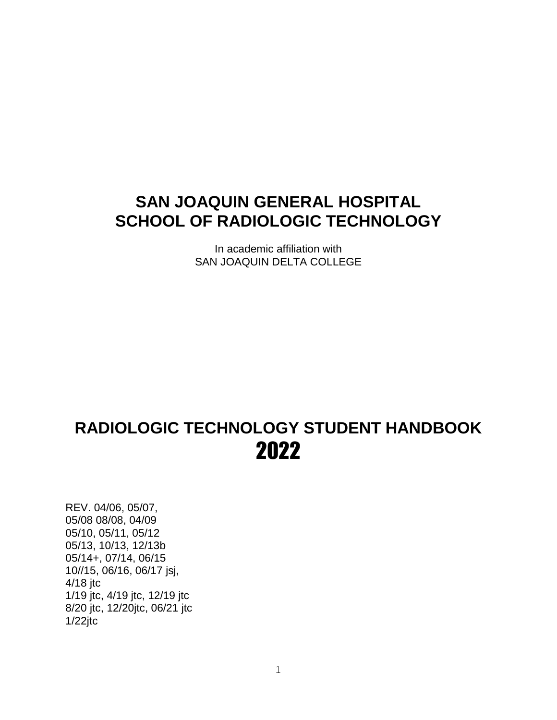# **SAN JOAQUIN GENERAL HOSPITAL SCHOOL OF RADIOLOGIC TECHNOLOGY**

In academic affiliation with SAN JOAQUIN DELTA COLLEGE

# **RADIOLOGIC TECHNOLOGY STUDENT HANDBOOK** 2022

REV. 04/06, 05/07, 05/08 08/08, 04/09 05/10, 05/11, 05/12 05/13, 10/13, 12/13b 05/14+, 07/14, 06/15 10//15, 06/16, 06/17 jsj, 4/18 jtc 1/19 jtc, 4/19 jtc, 12/19 jtc 8/20 jtc, 12/20jtc, 06/21 jtc 1/22jtc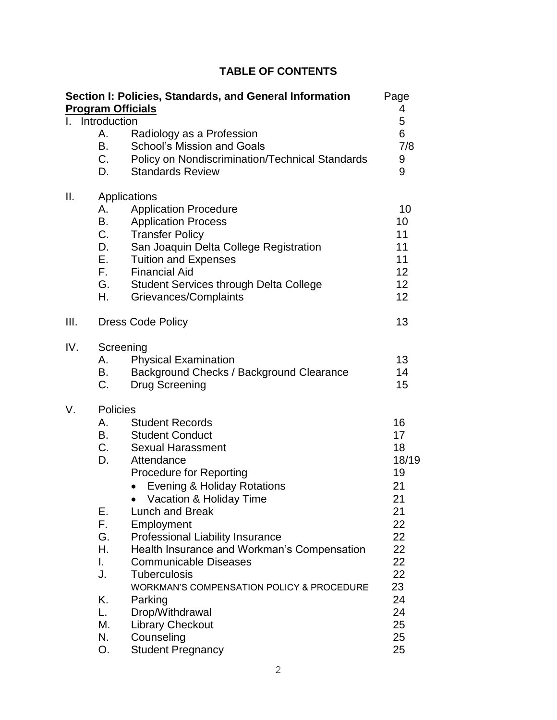# **TABLE OF CONTENTS**

|      |                                                                                                                  | Section I: Policies, Standards, and General Information<br><b>Program Officials</b>                                                                                                                                                                                                                                                                                                                                                                                                                                                            | Page<br>4                                                                                                         |
|------|------------------------------------------------------------------------------------------------------------------|------------------------------------------------------------------------------------------------------------------------------------------------------------------------------------------------------------------------------------------------------------------------------------------------------------------------------------------------------------------------------------------------------------------------------------------------------------------------------------------------------------------------------------------------|-------------------------------------------------------------------------------------------------------------------|
|      | Introduction                                                                                                     |                                                                                                                                                                                                                                                                                                                                                                                                                                                                                                                                                | 5                                                                                                                 |
|      | Α.<br><b>B.</b><br>C.<br>D.                                                                                      | Radiology as a Profession<br><b>School's Mission and Goals</b><br>Policy on Nondiscrimination/Technical Standards<br><b>Standards Review</b>                                                                                                                                                                                                                                                                                                                                                                                                   | 6<br>7/8<br>9<br>9                                                                                                |
| Ш.   | А.<br><b>B.</b><br>C.<br>D.<br>E.,<br>$F_{\rm{max}}$<br>G.<br>Η.                                                 | Applications<br><b>Application Procedure</b><br><b>Application Process</b><br><b>Transfer Policy</b><br>San Joaquin Delta College Registration<br><b>Tuition and Expenses</b><br><b>Financial Aid</b><br><b>Student Services through Delta College</b><br>Grievances/Complaints                                                                                                                                                                                                                                                                | 10<br>10<br>11<br>11<br>11<br>12<br>12<br>12                                                                      |
| III. |                                                                                                                  | <b>Dress Code Policy</b>                                                                                                                                                                                                                                                                                                                                                                                                                                                                                                                       | 13                                                                                                                |
| IV.  | B.<br>C.                                                                                                         | Screening<br><b>Physical Examination</b><br>Background Checks / Background Clearance<br>Drug Screening                                                                                                                                                                                                                                                                                                                                                                                                                                         | 13<br>14<br>15                                                                                                    |
| V.   | <b>Policies</b><br>А.<br><b>B.</b><br>C.<br>D.<br>Е.<br>F.<br>G.<br>Η.<br>L.<br>J.<br>Κ.<br>L.<br>М.<br>N.<br>О. | <b>Student Records</b><br><b>Student Conduct</b><br><b>Sexual Harassment</b><br>Attendance<br><b>Procedure for Reporting</b><br><b>Evening &amp; Holiday Rotations</b><br>Vacation & Holiday Time<br><b>Lunch and Break</b><br>Employment<br>Professional Liability Insurance<br>Health Insurance and Workman's Compensation<br><b>Communicable Diseases</b><br><b>Tuberculosis</b><br><b>WORKMAN'S COMPENSATION POLICY &amp; PROCEDURE</b><br>Parking<br>Drop/Withdrawal<br><b>Library Checkout</b><br>Counseling<br><b>Student Pregnancy</b> | 16<br>17<br>18<br>18/19<br>19<br>21<br>21<br>21<br>22<br>22<br>22<br>22<br>22<br>23<br>24<br>24<br>25<br>25<br>25 |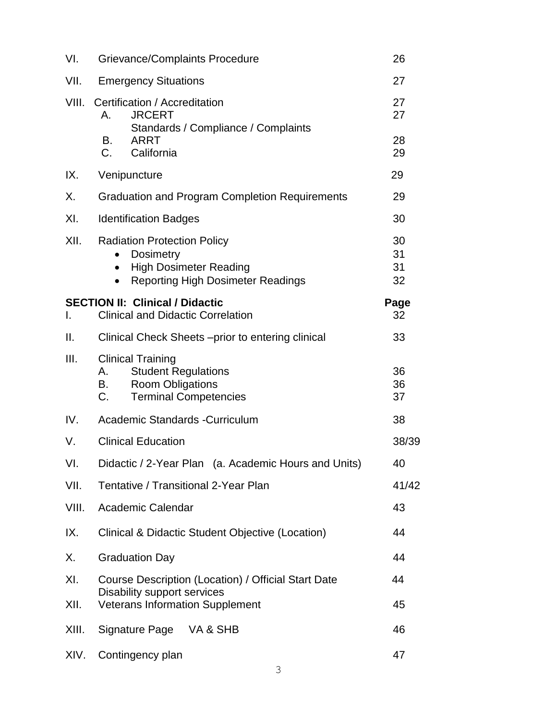| VI.   | Grievance/Complaints Procedure                                                                                                                   |                      |  |
|-------|--------------------------------------------------------------------------------------------------------------------------------------------------|----------------------|--|
| VII.  | <b>Emergency Situations</b>                                                                                                                      |                      |  |
| VIII. | Certification / Accreditation<br><b>JRCERT</b><br>A.<br>Standards / Compliance / Complaints                                                      | 27<br>27             |  |
|       | B.<br><b>ARRT</b><br>C.<br>California                                                                                                            | 28<br>29             |  |
| IX.   | Venipuncture                                                                                                                                     | 29                   |  |
| Χ.    | <b>Graduation and Program Completion Requirements</b>                                                                                            | 29                   |  |
| XI.   | <b>Identification Badges</b>                                                                                                                     | 30                   |  |
| XII.  | <b>Radiation Protection Policy</b><br><b>Dosimetry</b><br><b>High Dosimeter Reading</b><br>$\bullet$<br><b>Reporting High Dosimeter Readings</b> | 30<br>31<br>31<br>32 |  |
| I.    | <b>SECTION II: Clinical / Didactic</b><br><b>Clinical and Didactic Correlation</b>                                                               | Page<br>32           |  |
| ΙΙ.   | Clinical Check Sheets – prior to entering clinical                                                                                               |                      |  |
| III.  | <b>Clinical Training</b><br><b>Student Regulations</b><br><b>Room Obligations</b><br>B. O<br><b>Terminal Competencies</b><br>C.                  |                      |  |
| IV.   | Academic Standards - Curriculum                                                                                                                  |                      |  |
| V.    | <b>Clinical Education</b>                                                                                                                        |                      |  |
| VI.   | Didactic / 2-Year Plan (a. Academic Hours and Units)                                                                                             | 40                   |  |
| VII.  | Tentative / Transitional 2-Year Plan                                                                                                             | 41/42                |  |
| VIII. | Academic Calendar                                                                                                                                | 43                   |  |
| IX.   | Clinical & Didactic Student Objective (Location)                                                                                                 | 44                   |  |
| Х.    | <b>Graduation Day</b>                                                                                                                            | 44                   |  |
| XI.   | Course Description (Location) / Official Start Date<br>Disability support services                                                               |                      |  |
| XII.  | <b>Veterans Information Supplement</b><br>45                                                                                                     |                      |  |
| XIII. | Signature Page<br>VA & SHB                                                                                                                       |                      |  |
| XIV.  | Contingency plan                                                                                                                                 |                      |  |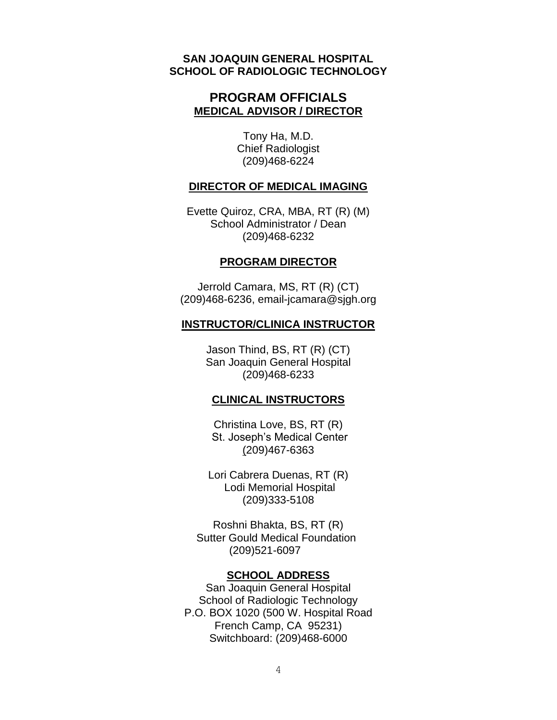#### **SAN JOAQUIN GENERAL HOSPITAL SCHOOL OF RADIOLOGIC TECHNOLOGY**

#### **PROGRAM OFFICIALS MEDICAL ADVISOR / DIRECTOR**

Tony Ha, M.D. Chief Radiologist (209)468-6224

#### **DIRECTOR OF MEDICAL IMAGING**

Evette Quiroz, CRA, MBA, RT (R) (M) School Administrator / Dean (209)468-6232

#### **PROGRAM DIRECTOR**

Jerrold Camara, MS, RT (R) (CT) (209)468-6236, email-jcamara@sjgh.org

#### **INSTRUCTOR/CLINICA INSTRUCTOR**

Jason Thind, BS, RT (R) (CT) San Joaquin General Hospital (209)468-6233

#### **CLINICAL INSTRUCTORS**

Christina Love, BS, RT (R) St. Joseph's Medical Center (209)467-6363

Lori Cabrera Duenas, RT (R) Lodi Memorial Hospital (209)333-5108

Roshni Bhakta, BS, RT (R) Sutter Gould Medical Foundation (209)521-6097

#### **SCHOOL ADDRESS**

San Joaquin General Hospital School of Radiologic Technology P.O. BOX 1020 (500 W. Hospital Road French Camp, CA 95231) Switchboard: (209)468-6000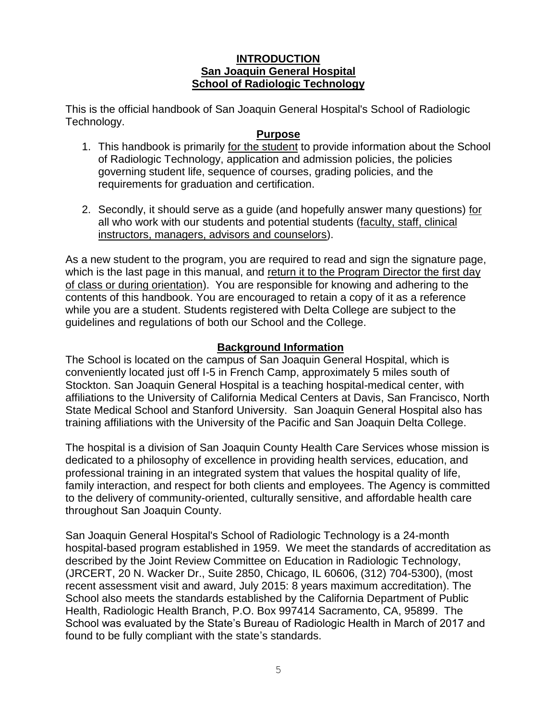#### **INTRODUCTION San Joaquin General Hospital School of Radiologic Technology**

This is the official handbook of San Joaquin General Hospital's School of Radiologic Technology.

#### **Purpose**

- 1. This handbook is primarily for the student to provide information about the School of Radiologic Technology, application and admission policies, the policies governing student life, sequence of courses, grading policies, and the requirements for graduation and certification.
- 2. Secondly, it should serve as a guide (and hopefully answer many questions) for all who work with our students and potential students (faculty, staff, clinical instructors, managers, advisors and counselors).

As a new student to the program, you are required to read and sign the signature page, which is the last page in this manual, and return it to the Program Director the first day of class or during orientation). You are responsible for knowing and adhering to the contents of this handbook. You are encouraged to retain a copy of it as a reference while you are a student. Students registered with Delta College are subject to the guidelines and regulations of both our School and the College.

#### **Background Information**

The School is located on the campus of San Joaquin General Hospital, which is conveniently located just off I-5 in French Camp, approximately 5 miles south of Stockton. San Joaquin General Hospital is a teaching hospital-medical center, with affiliations to the University of California Medical Centers at Davis, San Francisco, North State Medical School and Stanford University. San Joaquin General Hospital also has training affiliations with the University of the Pacific and San Joaquin Delta College.

The hospital is a division of San Joaquin County Health Care Services whose mission is dedicated to a philosophy of excellence in providing health services, education, and professional training in an integrated system that values the hospital quality of life, family interaction, and respect for both clients and employees. The Agency is committed to the delivery of community-oriented, culturally sensitive, and affordable health care throughout San Joaquin County.

San Joaquin General Hospital's School of Radiologic Technology is a 24-month hospital-based program established in 1959. We meet the standards of accreditation as described by the Joint Review Committee on Education in Radiologic Technology, (JRCERT, 20 N. Wacker Dr., Suite 2850, Chicago, IL 60606, (312) 704-5300), (most recent assessment visit and award, July 2015: 8 years maximum accreditation). The School also meets the standards established by the California Department of Public Health, Radiologic Health Branch, P.O. Box 997414 Sacramento, CA, 95899. The School was evaluated by the State's Bureau of Radiologic Health in March of 2017 and found to be fully compliant with the state's standards.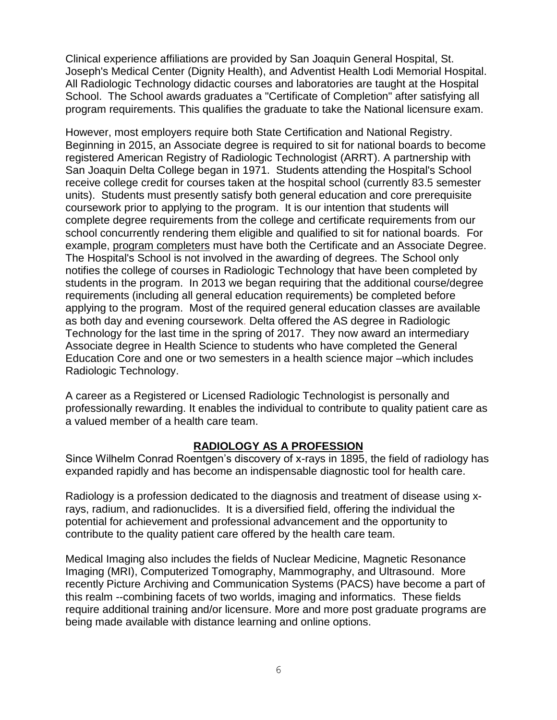Clinical experience affiliations are provided by San Joaquin General Hospital, St. Joseph's Medical Center (Dignity Health), and Adventist Health Lodi Memorial Hospital. All Radiologic Technology didactic courses and laboratories are taught at the Hospital School. The School awards graduates a "Certificate of Completion" after satisfying all program requirements. This qualifies the graduate to take the National licensure exam.

However, most employers require both State Certification and National Registry. Beginning in 2015, an Associate degree is required to sit for national boards to become registered American Registry of Radiologic Technologist (ARRT). A partnership with San Joaquin Delta College began in 1971. Students attending the Hospital's School receive college credit for courses taken at the hospital school (currently 83.5 semester units). Students must presently satisfy both general education and core prerequisite coursework prior to applying to the program. It is our intention that students will complete degree requirements from the college and certificate requirements from our school concurrently rendering them eligible and qualified to sit for national boards. For example, program completers must have both the Certificate and an Associate Degree. The Hospital's School is not involved in the awarding of degrees. The School only notifies the college of courses in Radiologic Technology that have been completed by students in the program. In 2013 we began requiring that the additional course/degree requirements (including all general education requirements) be completed before applying to the program. Most of the required general education classes are available as both day and evening coursework. Delta offered the AS degree in Radiologic Technology for the last time in the spring of 2017. They now award an intermediary Associate degree in Health Science to students who have completed the General Education Core and one or two semesters in a health science major –which includes Radiologic Technology.

A career as a Registered or Licensed Radiologic Technologist is personally and professionally rewarding. It enables the individual to contribute to quality patient care as a valued member of a health care team.

#### **RADIOLOGY AS A PROFESSION**

Since Wilhelm Conrad Roentgen's discovery of x-rays in 1895, the field of radiology has expanded rapidly and has become an indispensable diagnostic tool for health care.

Radiology is a profession dedicated to the diagnosis and treatment of disease using xrays, radium, and radionuclides. It is a diversified field, offering the individual the potential for achievement and professional advancement and the opportunity to contribute to the quality patient care offered by the health care team.

Medical Imaging also includes the fields of Nuclear Medicine, Magnetic Resonance Imaging (MRI), Computerized Tomography, Mammography, and Ultrasound. More recently Picture Archiving and Communication Systems (PACS) have become a part of this realm --combining facets of two worlds, imaging and informatics. These fields require additional training and/or licensure. More and more post graduate programs are being made available with distance learning and online options.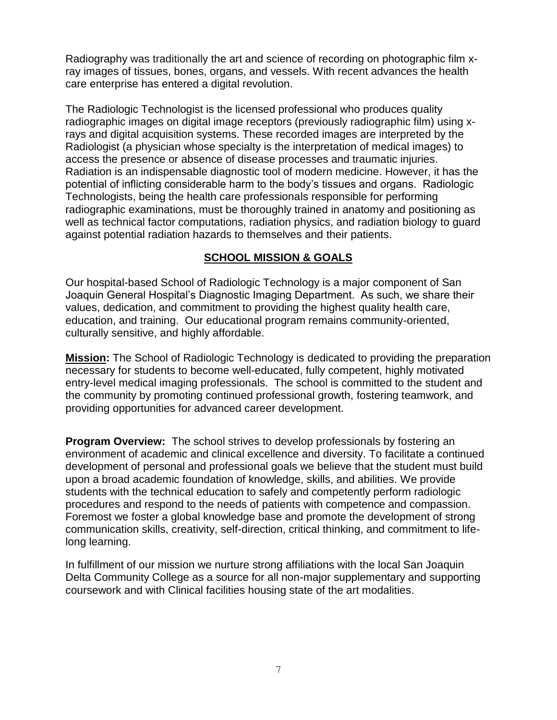Radiography was traditionally the art and science of recording on photographic film xray images of tissues, bones, organs, and vessels. With recent advances the health care enterprise has entered a digital revolution.

The Radiologic Technologist is the licensed professional who produces quality radiographic images on digital image receptors (previously radiographic film) using xrays and digital acquisition systems. These recorded images are interpreted by the Radiologist (a physician whose specialty is the interpretation of medical images) to access the presence or absence of disease processes and traumatic injuries. Radiation is an indispensable diagnostic tool of modern medicine. However, it has the potential of inflicting considerable harm to the body's tissues and organs. Radiologic Technologists, being the health care professionals responsible for performing radiographic examinations, must be thoroughly trained in anatomy and positioning as well as technical factor computations, radiation physics, and radiation biology to guard against potential radiation hazards to themselves and their patients.

#### **SCHOOL MISSION & GOALS**

Our hospital-based School of Radiologic Technology is a major component of San Joaquin General Hospital's Diagnostic Imaging Department. As such, we share their values, dedication, and commitment to providing the highest quality health care, education, and training. Our educational program remains community-oriented, culturally sensitive, and highly affordable.

**Mission:** The School of Radiologic Technology is dedicated to providing the preparation necessary for students to become well-educated, fully competent, highly motivated entry-level medical imaging professionals. The school is committed to the student and the community by promoting continued professional growth, fostering teamwork, and providing opportunities for advanced career development.

**Program Overview:** The school strives to develop professionals by fostering an environment of academic and clinical excellence and diversity. To facilitate a continued development of personal and professional goals we believe that the student must build upon a broad academic foundation of knowledge, skills, and abilities. We provide students with the technical education to safely and competently perform radiologic procedures and respond to the needs of patients with competence and compassion. Foremost we foster a global knowledge base and promote the development of strong communication skills, creativity, self-direction, critical thinking, and commitment to lifelong learning.

In fulfillment of our mission we nurture strong affiliations with the local San Joaquin Delta Community College as a source for all non-major supplementary and supporting coursework and with Clinical facilities housing state of the art modalities.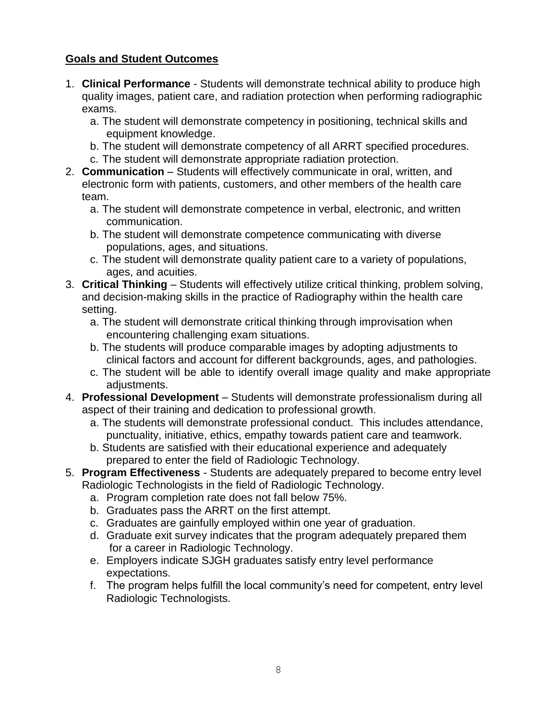# **Goals and Student Outcomes**

- 1. **Clinical Performance**  Students will demonstrate technical ability to produce high quality images, patient care, and radiation protection when performing radiographic exams.
	- a. The student will demonstrate competency in positioning, technical skills and equipment knowledge.
	- b. The student will demonstrate competency of all ARRT specified procedures.
	- c. The student will demonstrate appropriate radiation protection.
- 2. **Communication**  Students will effectively communicate in oral, written, and electronic form with patients, customers, and other members of the health care team.
	- a. The student will demonstrate competence in verbal, electronic, and written communication.
	- b. The student will demonstrate competence communicating with diverse populations, ages, and situations.
	- c. The student will demonstrate quality patient care to a variety of populations, ages, and acuities.
- 3. **Critical Thinking** Students will effectively utilize critical thinking, problem solving, and decision-making skills in the practice of Radiography within the health care setting.
	- a. The student will demonstrate critical thinking through improvisation when encountering challenging exam situations.
	- b. The students will produce comparable images by adopting adjustments to clinical factors and account for different backgrounds, ages, and pathologies.
	- c. The student will be able to identify overall image quality and make appropriate adjustments.
- 4. **Professional Development**  Students will demonstrate professionalism during all aspect of their training and dedication to professional growth.
	- a. The students will demonstrate professional conduct. This includes attendance, punctuality, initiative, ethics, empathy towards patient care and teamwork.
	- b. Students are satisfied with their educational experience and adequately prepared to enter the field of Radiologic Technology.
- 5. **Program Effectiveness** Students are adequately prepared to become entry level Radiologic Technologists in the field of Radiologic Technology.
	- a. Program completion rate does not fall below 75%.
	- b. Graduates pass the ARRT on the first attempt.
	- c. Graduates are gainfully employed within one year of graduation.
	- d. Graduate exit survey indicates that the program adequately prepared them for a career in Radiologic Technology.
	- e. Employers indicate SJGH graduates satisfy entry level performance expectations.
	- f. The program helps fulfill the local community's need for competent, entry level Radiologic Technologists.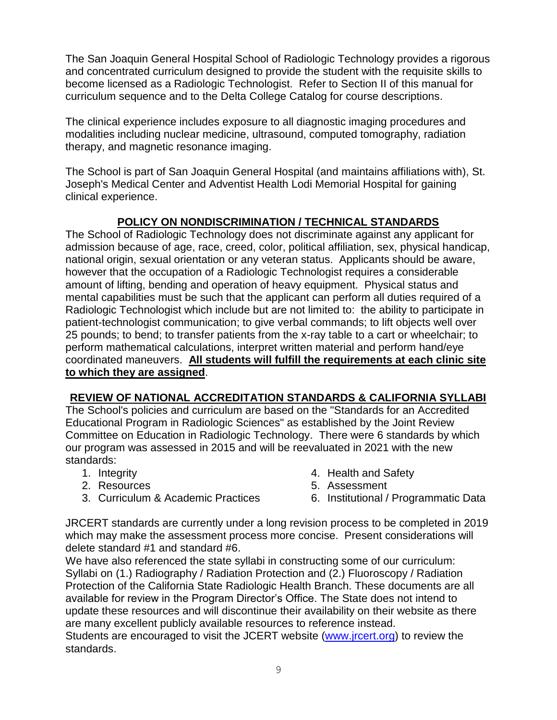The San Joaquin General Hospital School of Radiologic Technology provides a rigorous and concentrated curriculum designed to provide the student with the requisite skills to become licensed as a Radiologic Technologist. Refer to Section II of this manual for curriculum sequence and to the Delta College Catalog for course descriptions.

The clinical experience includes exposure to all diagnostic imaging procedures and modalities including nuclear medicine, ultrasound, computed tomography, radiation therapy, and magnetic resonance imaging.

The School is part of San Joaquin General Hospital (and maintains affiliations with), St. Joseph's Medical Center and Adventist Health Lodi Memorial Hospital for gaining clinical experience.

# **POLICY ON NONDISCRIMINATION / TECHNICAL STANDARDS**

The School of Radiologic Technology does not discriminate against any applicant for admission because of age, race, creed, color, political affiliation, sex, physical handicap, national origin, sexual orientation or any veteran status. Applicants should be aware, however that the occupation of a Radiologic Technologist requires a considerable amount of lifting, bending and operation of heavy equipment. Physical status and mental capabilities must be such that the applicant can perform all duties required of a Radiologic Technologist which include but are not limited to: the ability to participate in patient-technologist communication; to give verbal commands; to lift objects well over 25 pounds; to bend; to transfer patients from the x-ray table to a cart or wheelchair; to perform mathematical calculations, interpret written material and perform hand/eye coordinated maneuvers. **All students will fulfill the requirements at each clinic site to which they are assigned**.

#### **REVIEW OF NATIONAL ACCREDITATION STANDARDS & CALIFORNIA SYLLABI**

The School's policies and curriculum are based on the "Standards for an Accredited Educational Program in Radiologic Sciences" as established by the Joint Review Committee on Education in Radiologic Technology. There were 6 standards by which our program was assessed in 2015 and will be reevaluated in 2021 with the new standards:

- 1. Integrity
- 2. Resources
- 3. Curriculum & Academic Practices
- 4. Health and Safety
- 5. Assessment
- 6. Institutional / Programmatic Data

JRCERT standards are currently under a long revision process to be completed in 2019 which may make the assessment process more concise. Present considerations will delete standard #1 and standard #6.

We have also referenced the state syllabi in constructing some of our curriculum: Syllabi on (1.) Radiography / Radiation Protection and (2.) Fluoroscopy / Radiation Protection of the California State Radiologic Health Branch. These documents are all available for review in the Program Director's Office. The State does not intend to update these resources and will discontinue their availability on their website as there are many excellent publicly available resources to reference instead.

Students are encouraged to visit the JCERT website [\(www.jrcert.org\)](http://www.jrcert.org/) to review the standards.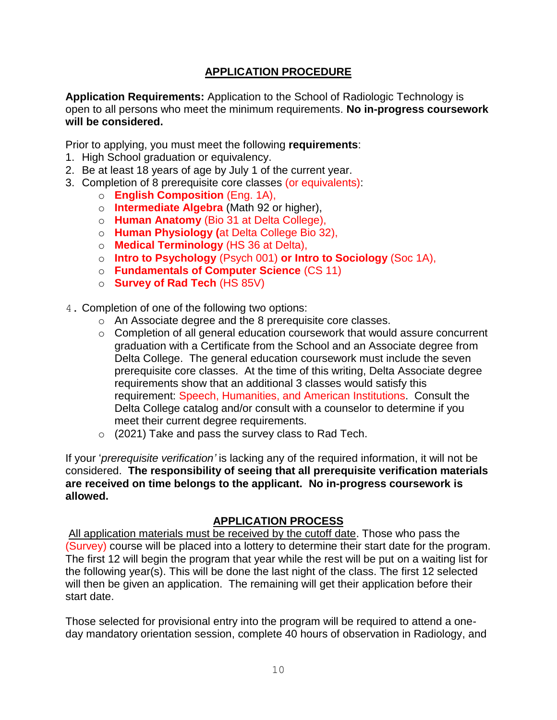# **APPLICATION PROCEDURE**

**Application Requirements:** Application to the School of Radiologic Technology is open to all persons who meet the minimum requirements. **No in-progress coursework will be considered.**

Prior to applying, you must meet the following **requirements**:

- 1. High School graduation or equivalency.
- 2. Be at least 18 years of age by July 1 of the current year.
- 3. Completion of 8 prerequisite core classes (or equivalents):
	- o **English Composition** (Eng. 1A),
	- o **Intermediate Algebra** (Math 92 or higher),
	- o **Human Anatomy** (Bio 31 at Delta College),
	- o **Human Physiology (**at Delta College Bio 32),
	- o **Medical Terminology** (HS 36 at Delta),
	- o **Intro to Psychology** (Psych 001) **or Intro to Sociology** (Soc 1A),
	- o **Fundamentals of Computer Science** (CS 11)
	- o **Survey of Rad Tech** (HS 85V)
- 4. Completion of one of the following two options:
	- o An Associate degree and the 8 prerequisite core classes.
	- o Completion of all general education coursework that would assure concurrent graduation with a Certificate from the School and an Associate degree from Delta College. The general education coursework must include the seven prerequisite core classes. At the time of this writing, Delta Associate degree requirements show that an additional 3 classes would satisfy this requirement: Speech, Humanities, and American Institutions. Consult the Delta College catalog and/or consult with a counselor to determine if you meet their current degree requirements.
	- $\circ$  (2021) Take and pass the survey class to Rad Tech.

If your '*prerequisite verification'* is lacking any of the required information, it will not be considered. **The responsibility of seeing that all prerequisite verification materials are received on time belongs to the applicant. No in-progress coursework is allowed.**

#### **APPLICATION PROCESS**

All application materials must be received by the cutoff date. Those who pass the (Survey) course will be placed into a lottery to determine their start date for the program. The first 12 will begin the program that year while the rest will be put on a waiting list for the following year(s). This will be done the last night of the class. The first 12 selected will then be given an application. The remaining will get their application before their start date.

Those selected for provisional entry into the program will be required to attend a oneday mandatory orientation session, complete 40 hours of observation in Radiology, and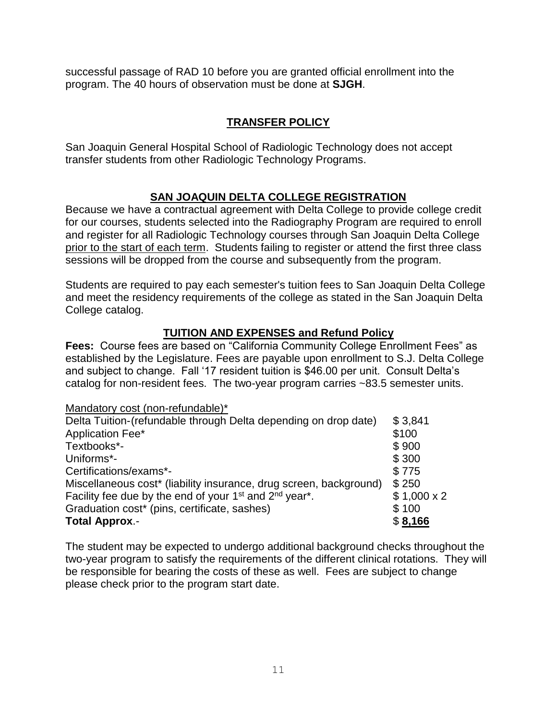successful passage of RAD 10 before you are granted official enrollment into the program. The 40 hours of observation must be done at **SJGH**.

# **TRANSFER POLICY**

San Joaquin General Hospital School of Radiologic Technology does not accept transfer students from other Radiologic Technology Programs.

# **SAN JOAQUIN DELTA COLLEGE REGISTRATION**

Because we have a contractual agreement with Delta College to provide college credit for our courses, students selected into the Radiography Program are required to enroll and register for all Radiologic Technology courses through San Joaquin Delta College prior to the start of each term. Students failing to register or attend the first three class sessions will be dropped from the course and subsequently from the program.

Students are required to pay each semester's tuition fees to San Joaquin Delta College and meet the residency requirements of the college as stated in the San Joaquin Delta College catalog.

# **TUITION AND EXPENSES and Refund Policy**

**Fees:** Course fees are based on "California Community College Enrollment Fees" as established by the Legislature. Fees are payable upon enrollment to S.J. Delta College and subject to change. Fall '17 resident tuition is \$46.00 per unit. Consult Delta's catalog for non-resident fees. The two-year program carries ~83.5 semester units.

Mandatory cost (non-refundable)\*

| Delta Tuition-(refundable through Delta depending on drop date)                             | \$3,841           |
|---------------------------------------------------------------------------------------------|-------------------|
| Application Fee*                                                                            | \$100             |
| Textbooks*-                                                                                 | \$900             |
| Uniforms*-                                                                                  | \$300             |
| Certifications/exams*-                                                                      | \$775             |
| Miscellaneous cost* (liability insurance, drug screen, background)                          | \$250             |
| Facility fee due by the end of your 1 <sup>st</sup> and 2 <sup>nd</sup> year <sup>*</sup> . | $$1,000 \times 2$ |
| Graduation cost* (pins, certificate, sashes)                                                | \$100             |
| <b>Total Approx.-</b>                                                                       | \$8,166           |

The student may be expected to undergo additional background checks throughout the two-year program to satisfy the requirements of the different clinical rotations. They will be responsible for bearing the costs of these as well. Fees are subject to change please check prior to the program start date.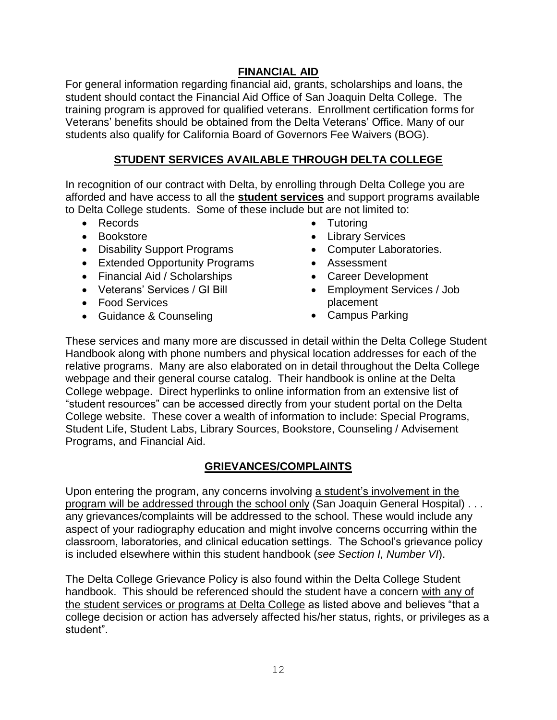#### **FINANCIAL AID**

For general information regarding financial aid, grants, scholarships and loans, the student should contact the Financial Aid Office of San Joaquin Delta College. The training program is approved for qualified veterans. Enrollment certification forms for Veterans' benefits should be obtained from the Delta Veterans' Office. Many of our students also qualify for California Board of Governors Fee Waivers (BOG).

# **STUDENT SERVICES AVAILABLE THROUGH DELTA COLLEGE**

In recognition of our contract with Delta, by enrolling through Delta College you are afforded and have access to all the **student services** and support programs available to Delta College students. Some of these include but are not limited to:

- Records
- Bookstore
- Disability Support Programs
- Extended Opportunity Programs
- Financial Aid / Scholarships
- Veterans' Services / GI Bill
- Food Services
- Guidance & Counseling
- Tutoring
- Library Services
- Computer Laboratories.
- Assessment
- Career Development
- Employment Services / Job placement
- Campus Parking

These services and many more are discussed in detail within the Delta College Student Handbook along with phone numbers and physical location addresses for each of the relative programs. Many are also elaborated on in detail throughout the Delta College webpage and their general course catalog. Their handbook is online at the Delta College webpage. Direct hyperlinks to online information from an extensive list of "student resources" can be accessed directly from your student portal on the Delta College website. These cover a wealth of information to include: Special Programs, Student Life, Student Labs, Library Sources, Bookstore, Counseling / Advisement Programs, and Financial Aid.

# **GRIEVANCES/COMPLAINTS**

Upon entering the program, any concerns involving a student's involvement in the program will be addressed through the school only (San Joaquin General Hospital) . . . any grievances/complaints will be addressed to the school. These would include any aspect of your radiography education and might involve concerns occurring within the classroom, laboratories, and clinical education settings. The School's grievance policy is included elsewhere within this student handbook (*see Section I, Number VI*).

The Delta College Grievance Policy is also found within the Delta College Student handbook. This should be referenced should the student have a concern with any of the student services or programs at Delta College as listed above and believes "that a college decision or action has adversely affected his/her status, rights, or privileges as a student".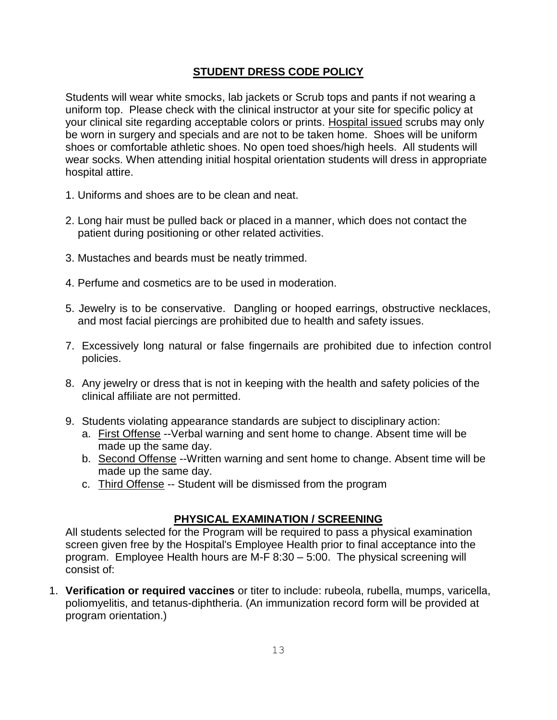#### **STUDENT DRESS CODE POLICY**

Students will wear white smocks, lab jackets or Scrub tops and pants if not wearing a uniform top. Please check with the clinical instructor at your site for specific policy at your clinical site regarding acceptable colors or prints. Hospital issued scrubs may only be worn in surgery and specials and are not to be taken home. Shoes will be uniform shoes or comfortable athletic shoes. No open toed shoes/high heels. All students will wear socks. When attending initial hospital orientation students will dress in appropriate hospital attire.

- 1. Uniforms and shoes are to be clean and neat.
- 2. Long hair must be pulled back or placed in a manner, which does not contact the patient during positioning or other related activities.
- 3. Mustaches and beards must be neatly trimmed.
- 4. Perfume and cosmetics are to be used in moderation.
- 5. Jewelry is to be conservative. Dangling or hooped earrings, obstructive necklaces, and most facial piercings are prohibited due to health and safety issues.
- 7. Excessively long natural or false fingernails are prohibited due to infection control policies.
- 8. Any jewelry or dress that is not in keeping with the health and safety policies of the clinical affiliate are not permitted.
- 9. Students violating appearance standards are subject to disciplinary action:
	- a. First Offense --Verbal warning and sent home to change. Absent time will be made up the same day.
	- b. Second Offense --Written warning and sent home to change. Absent time will be made up the same day.
	- c. Third Offense -- Student will be dismissed from the program

#### **PHYSICAL EXAMINATION / SCREENING**

All students selected for the Program will be required to pass a physical examination screen given free by the Hospital's Employee Health prior to final acceptance into the program. Employee Health hours are M-F 8:30 – 5:00. The physical screening will consist of:

1. **Verification or required vaccines** or titer to include: rubeola, rubella, mumps, varicella, poliomyelitis, and tetanus-diphtheria. (An immunization record form will be provided at program orientation.)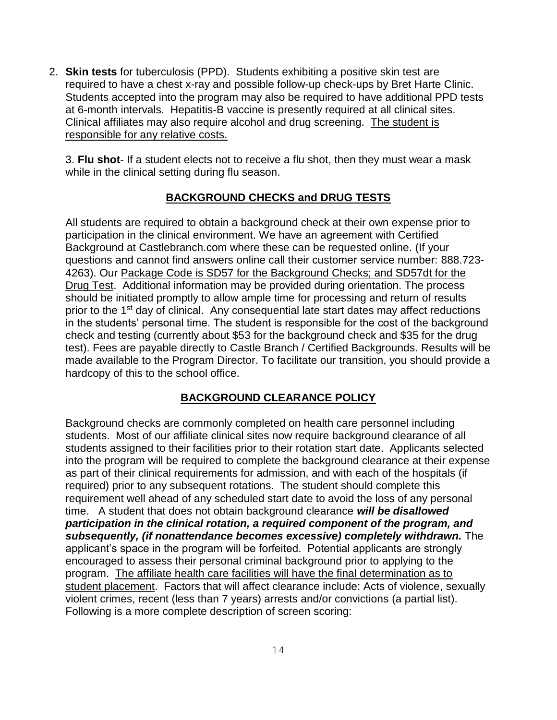2. **Skin tests** for tuberculosis (PPD). Students exhibiting a positive skin test are required to have a chest x-ray and possible follow-up check-ups by Bret Harte Clinic. Students accepted into the program may also be required to have additional PPD tests at 6-month intervals. Hepatitis-B vaccine is presently required at all clinical sites. Clinical affiliates may also require alcohol and drug screening. The student is responsible for any relative costs.

3. **Flu shot**- If a student elects not to receive a flu shot, then they must wear a mask while in the clinical setting during flu season.

#### **BACKGROUND CHECKS and DRUG TESTS**

All students are required to obtain a background check at their own expense prior to participation in the clinical environment. We have an agreement with Certified Background at Castlebranch.com where these can be requested online. (If your questions and cannot find answers online call their customer service number: 888.723- 4263). Our Package Code is SD57 for the Background Checks; and SD57dt for the Drug Test. Additional information may be provided during orientation. The process should be initiated promptly to allow ample time for processing and return of results prior to the 1st day of clinical. Any consequential late start dates may affect reductions in the students' personal time. The student is responsible for the cost of the background check and testing (currently about \$53 for the background check and \$35 for the drug test). Fees are payable directly to Castle Branch / Certified Backgrounds. Results will be made available to the Program Director. To facilitate our transition, you should provide a hardcopy of this to the school office.

#### **BACKGROUND CLEARANCE POLICY**

Background checks are commonly completed on health care personnel including students. Most of our affiliate clinical sites now require background clearance of all students assigned to their facilities prior to their rotation start date. Applicants selected into the program will be required to complete the background clearance at their expense as part of their clinical requirements for admission, and with each of the hospitals (if required) prior to any subsequent rotations. The student should complete this requirement well ahead of any scheduled start date to avoid the loss of any personal time. A student that does not obtain background clearance *will be disallowed participation in the clinical rotation, a required component of the program, and subsequently, (if nonattendance becomes excessive) completely withdrawn.* The applicant's space in the program will be forfeited. Potential applicants are strongly encouraged to assess their personal criminal background prior to applying to the program. The affiliate health care facilities will have the final determination as to student placement. Factors that will affect clearance include: Acts of violence, sexually violent crimes, recent (less than 7 years) arrests and/or convictions (a partial list). Following is a more complete description of screen scoring: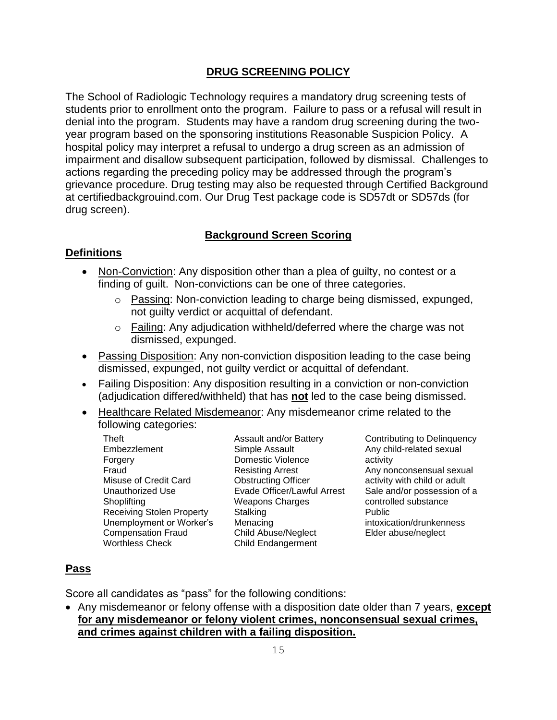#### **DRUG SCREENING POLICY**

The School of Radiologic Technology requires a mandatory drug screening tests of students prior to enrollment onto the program. Failure to pass or a refusal will result in denial into the program. Students may have a random drug screening during the twoyear program based on the sponsoring institutions Reasonable Suspicion Policy. A hospital policy may interpret a refusal to undergo a drug screen as an admission of impairment and disallow subsequent participation, followed by dismissal. Challenges to actions regarding the preceding policy may be addressed through the program's grievance procedure. Drug testing may also be requested through Certified Background at certifiedbackgrouind.com. Our Drug Test package code is SD57dt or SD57ds (for drug screen).

#### **Background Screen Scoring**

#### **Definitions**

- Non-Conviction: Any disposition other than a plea of quilty, no contest or a finding of guilt. Non-convictions can be one of three categories.
	- o Passing: Non-conviction leading to charge being dismissed, expunged, not guilty verdict or acquittal of defendant.
	- o Failing: Any adjudication withheld/deferred where the charge was not dismissed, expunged.
- Passing Disposition: Any non-conviction disposition leading to the case being dismissed, expunged, not guilty verdict or acquittal of defendant.
- Failing Disposition: Any disposition resulting in a conviction or non-conviction (adjudication differed/withheld) that has **not** led to the case being dismissed.
- Healthcare Related Misdemeanor: Any misdemeanor crime related to the following categories:
	- Theft Embezzlement Forgery Fraud Misuse of Credit Card Unauthorized Use **Shoplifting** Receiving Stolen Property Unemployment or Worker's Compensation Fraud Worthless Check

Assault and/or Battery Simple Assault Domestic Violence Resisting Arrest Obstructing Officer Evade Officer/Lawful Arrest Weapons Charges **Stalking** Menacing Child Abuse/Neglect Child Endangerment

Contributing to Delinquency Any child-related sexual activity Any nonconsensual sexual activity with child or adult Sale and/or possession of a controlled substance Public intoxication/drunkenness Elder abuse/neglect

#### **Pass**

Score all candidates as "pass" for the following conditions:

• Any misdemeanor or felony offense with a disposition date older than 7 years, **except for any misdemeanor or felony violent crimes, nonconsensual sexual crimes, and crimes against children with a failing disposition.**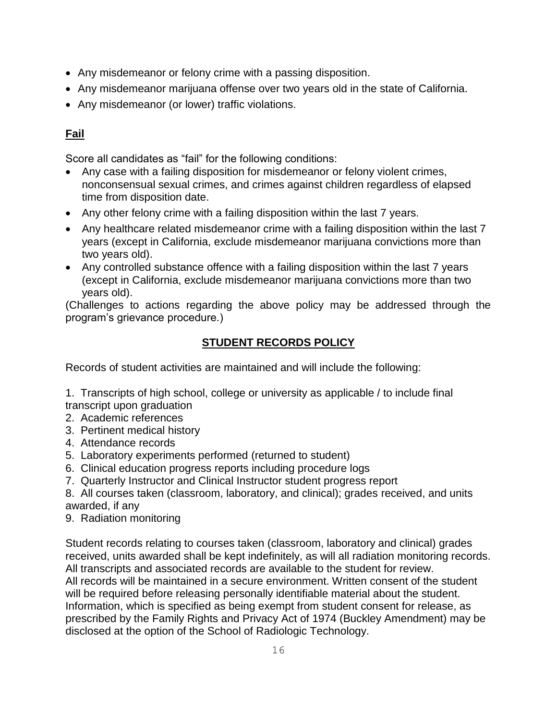- Any misdemeanor or felony crime with a passing disposition.
- Any misdemeanor marijuana offense over two years old in the state of California.
- Any misdemeanor (or lower) traffic violations.

# **Fail**

Score all candidates as "fail" for the following conditions:

- Any case with a failing disposition for misdemeanor or felony violent crimes, nonconsensual sexual crimes, and crimes against children regardless of elapsed time from disposition date.
- Any other felony crime with a failing disposition within the last 7 years.
- Any healthcare related misdemeanor crime with a failing disposition within the last 7 years (except in California, exclude misdemeanor marijuana convictions more than two years old).
- Any controlled substance offence with a failing disposition within the last 7 years (except in California, exclude misdemeanor marijuana convictions more than two years old).

(Challenges to actions regarding the above policy may be addressed through the program's grievance procedure.)

# **STUDENT RECORDS POLICY**

Records of student activities are maintained and will include the following:

1. Transcripts of high school, college or university as applicable / to include final transcript upon graduation

- 2. Academic references
- 3. Pertinent medical history
- 4. Attendance records
- 5. Laboratory experiments performed (returned to student)
- 6. Clinical education progress reports including procedure logs
- 7. Quarterly Instructor and Clinical Instructor student progress report

8. All courses taken (classroom, laboratory, and clinical); grades received, and units awarded, if any

9. Radiation monitoring

Student records relating to courses taken (classroom, laboratory and clinical) grades received, units awarded shall be kept indefinitely, as will all radiation monitoring records. All transcripts and associated records are available to the student for review. All records will be maintained in a secure environment. Written consent of the student will be required before releasing personally identifiable material about the student. Information, which is specified as being exempt from student consent for release, as prescribed by the Family Rights and Privacy Act of 1974 (Buckley Amendment) may be disclosed at the option of the School of Radiologic Technology.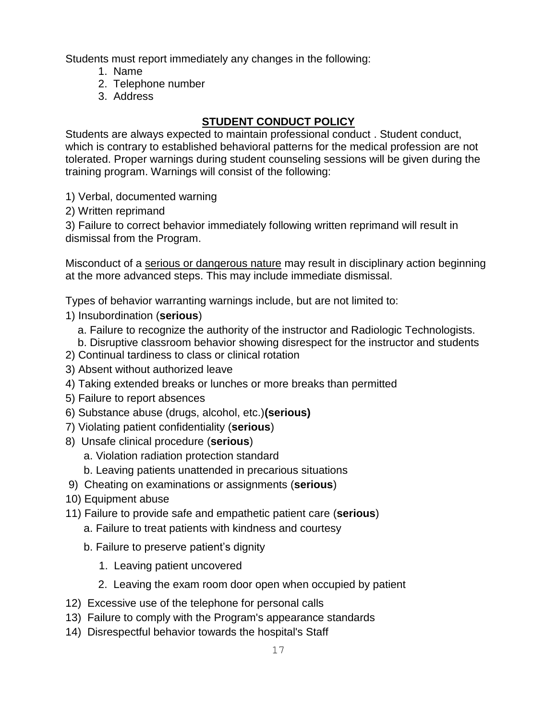Students must report immediately any changes in the following:

- 1. Name
- 2. Telephone number
- 3. Address

# **STUDENT CONDUCT POLICY**

Students are always expected to maintain professional conduct . Student conduct, which is contrary to established behavioral patterns for the medical profession are not tolerated. Proper warnings during student counseling sessions will be given during the training program. Warnings will consist of the following:

1) Verbal, documented warning

2) Written reprimand

3) Failure to correct behavior immediately following written reprimand will result in dismissal from the Program.

Misconduct of a serious or dangerous nature may result in disciplinary action beginning at the more advanced steps. This may include immediate dismissal.

Types of behavior warranting warnings include, but are not limited to:

- 1) Insubordination (**serious**)
	- a. Failure to recognize the authority of the instructor and Radiologic Technologists.
- b. Disruptive classroom behavior showing disrespect for the instructor and students
- 2) Continual tardiness to class or clinical rotation
- 3) Absent without authorized leave
- 4) Taking extended breaks or lunches or more breaks than permitted
- 5) Failure to report absences
- 6) Substance abuse (drugs, alcohol, etc.)**(serious)**
- 7) Violating patient confidentiality (**serious**)
- 8) Unsafe clinical procedure (**serious**)
	- a. Violation radiation protection standard
	- b. Leaving patients unattended in precarious situations
- 9) Cheating on examinations or assignments (**serious**)
- 10) Equipment abuse
- 11) Failure to provide safe and empathetic patient care (**serious**)
	- a. Failure to treat patients with kindness and courtesy
	- b. Failure to preserve patient's dignity
		- 1. Leaving patient uncovered
		- 2. Leaving the exam room door open when occupied by patient
- 12) Excessive use of the telephone for personal calls
- 13) Failure to comply with the Program's appearance standards
- 14) Disrespectful behavior towards the hospital's Staff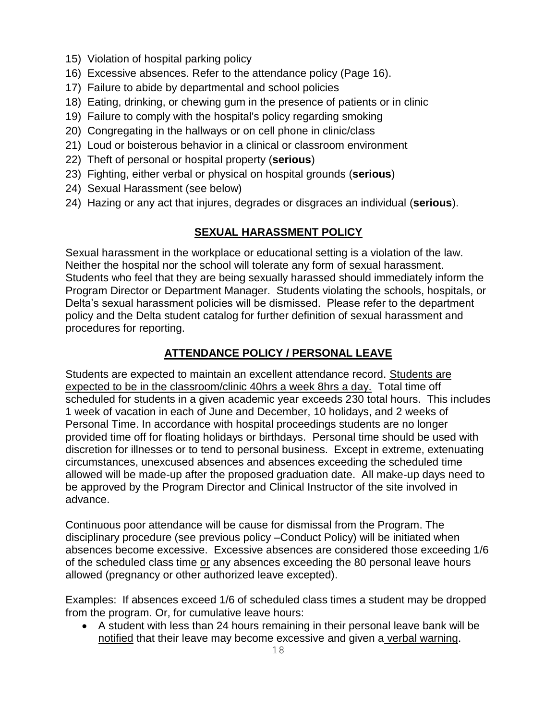- 15) Violation of hospital parking policy
- 16) Excessive absences. Refer to the attendance policy (Page 16).
- 17) Failure to abide by departmental and school policies
- 18) Eating, drinking, or chewing gum in the presence of patients or in clinic
- 19) Failure to comply with the hospital's policy regarding smoking
- 20) Congregating in the hallways or on cell phone in clinic/class
- 21) Loud or boisterous behavior in a clinical or classroom environment
- 22) Theft of personal or hospital property (**serious**)
- 23) Fighting, either verbal or physical on hospital grounds (**serious**)
- 24) Sexual Harassment (see below)
- 24) Hazing or any act that injures, degrades or disgraces an individual (**serious**).

# **SEXUAL HARASSMENT POLICY**

Sexual harassment in the workplace or educational setting is a violation of the law. Neither the hospital nor the school will tolerate any form of sexual harassment. Students who feel that they are being sexually harassed should immediately inform the Program Director or Department Manager. Students violating the schools, hospitals, or Delta's sexual harassment policies will be dismissed. Please refer to the department policy and the Delta student catalog for further definition of sexual harassment and procedures for reporting.

#### **ATTENDANCE POLICY / PERSONAL LEAVE**

Students are expected to maintain an excellent attendance record. Students are expected to be in the classroom/clinic 40hrs a week 8hrs a day. Total time off scheduled for students in a given academic year exceeds 230 total hours. This includes 1 week of vacation in each of June and December, 10 holidays, and 2 weeks of Personal Time. In accordance with hospital proceedings students are no longer provided time off for floating holidays or birthdays. Personal time should be used with discretion for illnesses or to tend to personal business. Except in extreme, extenuating circumstances, unexcused absences and absences exceeding the scheduled time allowed will be made-up after the proposed graduation date. All make-up days need to be approved by the Program Director and Clinical Instructor of the site involved in advance.

Continuous poor attendance will be cause for dismissal from the Program. The disciplinary procedure (see previous policy –Conduct Policy) will be initiated when absences become excessive. Excessive absences are considered those exceeding 1/6 of the scheduled class time or any absences exceeding the 80 personal leave hours allowed (pregnancy or other authorized leave excepted).

Examples: If absences exceed 1/6 of scheduled class times a student may be dropped from the program. Or, for cumulative leave hours:

• A student with less than 24 hours remaining in their personal leave bank will be notified that their leave may become excessive and given a verbal warning.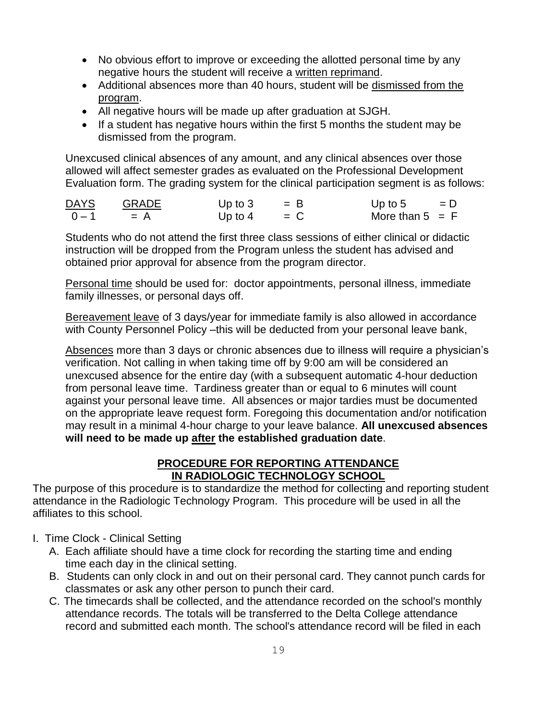- No obvious effort to improve or exceeding the allotted personal time by any negative hours the student will receive a written reprimand.
- Additional absences more than 40 hours, student will be dismissed from the program.
- All negative hours will be made up after graduation at SJGH.
- If a student has negative hours within the first 5 months the student may be dismissed from the program.

Unexcused clinical absences of any amount, and any clinical absences over those allowed will affect semester grades as evaluated on the Professional Development Evaluation form. The grading system for the clinical participation segment is as follows:

| <b>DAYS</b> | <b>GRADE</b> | Up to $3$ | $=$ B | Up to 5           | $= D$ |
|-------------|--------------|-----------|-------|-------------------|-------|
| $0 - 1$     | $= A$        | Up to $4$ | $=$ C | More than $5 = F$ |       |

Students who do not attend the first three class sessions of either clinical or didactic instruction will be dropped from the Program unless the student has advised and obtained prior approval for absence from the program director.

Personal time should be used for: doctor appointments, personal illness, immediate family illnesses, or personal days off.

Bereavement leave of 3 days/year for immediate family is also allowed in accordance with County Personnel Policy -this will be deducted from your personal leave bank,

Absences more than 3 days or chronic absences due to illness will require a physician's verification. Not calling in when taking time off by 9:00 am will be considered an unexcused absence for the entire day (with a subsequent automatic 4-hour deduction from personal leave time. Tardiness greater than or equal to 6 minutes will count against your personal leave time. All absences or major tardies must be documented on the appropriate leave request form. Foregoing this documentation and/or notification may result in a minimal 4-hour charge to your leave balance. **All unexcused absences will need to be made up after the established graduation date**.

#### **PROCEDURE FOR REPORTING ATTENDANCE IN RADIOLOGIC TECHNOLOGY SCHOOL**

The purpose of this procedure is to standardize the method for collecting and reporting student attendance in the Radiologic Technology Program. This procedure will be used in all the affiliates to this school.

- I. Time Clock Clinical Setting
	- A. Each affiliate should have a time clock for recording the starting time and ending time each day in the clinical setting.
	- B. Students can only clock in and out on their personal card. They cannot punch cards for classmates or ask any other person to punch their card.
	- C. The timecards shall be collected, and the attendance recorded on the school's monthly attendance records. The totals will be transferred to the Delta College attendance record and submitted each month. The school's attendance record will be filed in each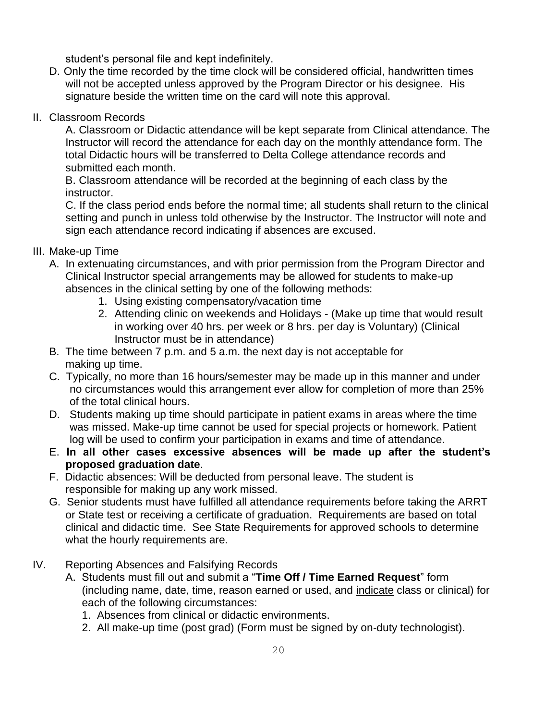student's personal file and kept indefinitely.

- D. Only the time recorded by the time clock will be considered official, handwritten times will not be accepted unless approved by the Program Director or his designee. His signature beside the written time on the card will note this approval.
- II. Classroom Records

A. Classroom or Didactic attendance will be kept separate from Clinical attendance. The Instructor will record the attendance for each day on the monthly attendance form. The total Didactic hours will be transferred to Delta College attendance records and submitted each month.

B. Classroom attendance will be recorded at the beginning of each class by the instructor.

C. If the class period ends before the normal time; all students shall return to the clinical setting and punch in unless told otherwise by the Instructor. The Instructor will note and sign each attendance record indicating if absences are excused.

- III. Make-up Time
	- A. In extenuating circumstances, and with prior permission from the Program Director and Clinical Instructor special arrangements may be allowed for students to make-up absences in the clinical setting by one of the following methods:
		- 1. Using existing compensatory/vacation time
		- 2. Attending clinic on weekends and Holidays (Make up time that would result in working over 40 hrs. per week or 8 hrs. per day is Voluntary) (Clinical Instructor must be in attendance)
	- B. The time between 7 p.m. and 5 a.m. the next day is not acceptable for making up time.
	- C. Typically, no more than 16 hours/semester may be made up in this manner and under no circumstances would this arrangement ever allow for completion of more than 25% of the total clinical hours.
	- D. Students making up time should participate in patient exams in areas where the time was missed. Make-up time cannot be used for special projects or homework. Patient log will be used to confirm your participation in exams and time of attendance.
	- E. **In all other cases excessive absences will be made up after the student's proposed graduation date**.
	- F. Didactic absences: Will be deducted from personal leave. The student is responsible for making up any work missed.
	- G. Senior students must have fulfilled all attendance requirements before taking the ARRT or State test or receiving a certificate of graduation. Requirements are based on total clinical and didactic time. See State Requirements for approved schools to determine what the hourly requirements are.
- IV. Reporting Absences and Falsifying Records
	- A. Students must fill out and submit a "**Time Off / Time Earned Request**" form (including name, date, time, reason earned or used, and indicate class or clinical) for each of the following circumstances:
		- 1. Absences from clinical or didactic environments.
		- 2. All make-up time (post grad) (Form must be signed by on-duty technologist).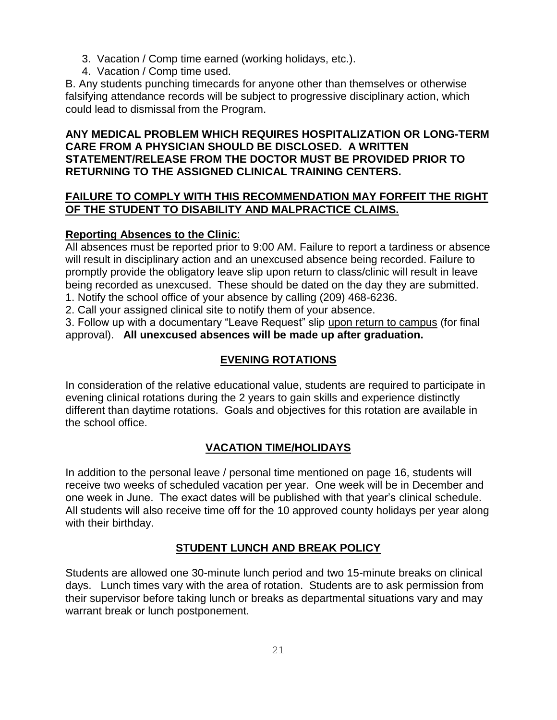- 3. Vacation / Comp time earned (working holidays, etc.).
- 4. Vacation / Comp time used.

B. Any students punching timecards for anyone other than themselves or otherwise falsifying attendance records will be subject to progressive disciplinary action, which could lead to dismissal from the Program.

#### **ANY MEDICAL PROBLEM WHICH REQUIRES HOSPITALIZATION OR LONG-TERM CARE FROM A PHYSICIAN SHOULD BE DISCLOSED. A WRITTEN STATEMENT/RELEASE FROM THE DOCTOR MUST BE PROVIDED PRIOR TO RETURNING TO THE ASSIGNED CLINICAL TRAINING CENTERS.**

#### **FAILURE TO COMPLY WITH THIS RECOMMENDATION MAY FORFEIT THE RIGHT OF THE STUDENT TO DISABILITY AND MALPRACTICE CLAIMS.**

#### **Reporting Absences to the Clinic**:

All absences must be reported prior to 9:00 AM. Failure to report a tardiness or absence will result in disciplinary action and an unexcused absence being recorded. Failure to promptly provide the obligatory leave slip upon return to class/clinic will result in leave being recorded as unexcused. These should be dated on the day they are submitted. 1. Notify the school office of your absence by calling (209) 468-6236.

2. Call your assigned clinical site to notify them of your absence.

3. Follow up with a documentary "Leave Request" slip upon return to campus (for final approval). **All unexcused absences will be made up after graduation.**

# **EVENING ROTATIONS**

In consideration of the relative educational value, students are required to participate in evening clinical rotations during the 2 years to gain skills and experience distinctly different than daytime rotations. Goals and objectives for this rotation are available in the school office.

# **VACATION TIME/HOLIDAYS**

In addition to the personal leave / personal time mentioned on page 16, students will receive two weeks of scheduled vacation per year. One week will be in December and one week in June. The exact dates will be published with that year's clinical schedule. All students will also receive time off for the 10 approved county holidays per year along with their birthday.

# **STUDENT LUNCH AND BREAK POLICY**

Students are allowed one 30-minute lunch period and two 15-minute breaks on clinical days. Lunch times vary with the area of rotation. Students are to ask permission from their supervisor before taking lunch or breaks as departmental situations vary and may warrant break or lunch postponement.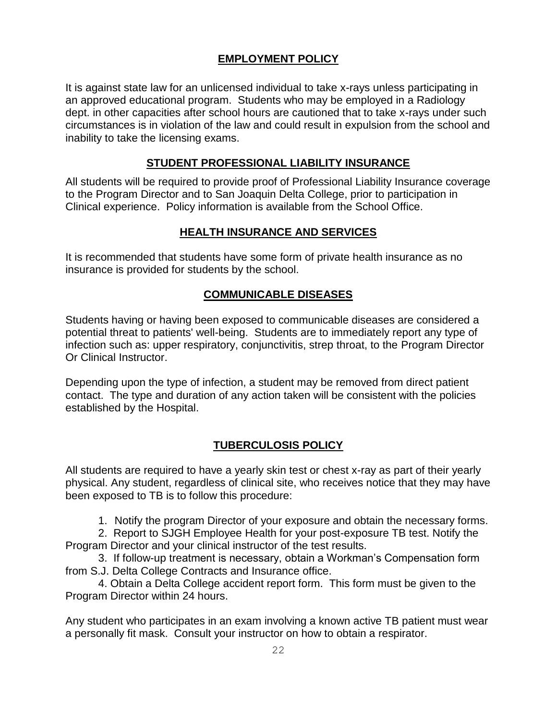#### **EMPLOYMENT POLICY**

It is against state law for an unlicensed individual to take x-rays unless participating in an approved educational program. Students who may be employed in a Radiology dept. in other capacities after school hours are cautioned that to take x-rays under such circumstances is in violation of the law and could result in expulsion from the school and inability to take the licensing exams.

#### **STUDENT PROFESSIONAL LIABILITY INSURANCE**

All students will be required to provide proof of Professional Liability Insurance coverage to the Program Director and to San Joaquin Delta College, prior to participation in Clinical experience. Policy information is available from the School Office.

# **HEALTH INSURANCE AND SERVICES**

It is recommended that students have some form of private health insurance as no insurance is provided for students by the school.

#### **COMMUNICABLE DISEASES**

Students having or having been exposed to communicable diseases are considered a potential threat to patients' well-being. Students are to immediately report any type of infection such as: upper respiratory, conjunctivitis, strep throat, to the Program Director Or Clinical Instructor.

Depending upon the type of infection, a student may be removed from direct patient contact. The type and duration of any action taken will be consistent with the policies established by the Hospital.

#### **TUBERCULOSIS POLICY**

All students are required to have a yearly skin test or chest x-ray as part of their yearly physical. Any student, regardless of clinical site, who receives notice that they may have been exposed to TB is to follow this procedure:

1. Notify the program Director of your exposure and obtain the necessary forms.

2. Report to SJGH Employee Health for your post-exposure TB test. Notify the Program Director and your clinical instructor of the test results.

3. If follow-up treatment is necessary, obtain a Workman's Compensation form from S.J. Delta College Contracts and Insurance office.

4. Obtain a Delta College accident report form. This form must be given to the Program Director within 24 hours.

Any student who participates in an exam involving a known active TB patient must wear a personally fit mask. Consult your instructor on how to obtain a respirator.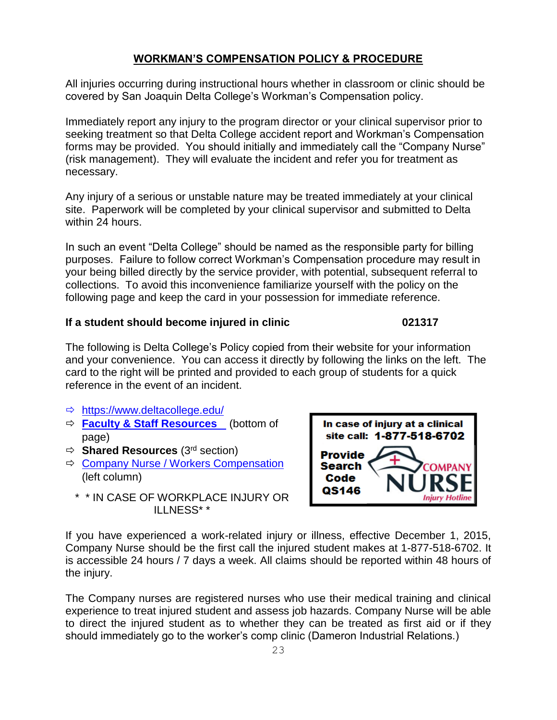#### **WORKMAN'S COMPENSATION POLICY & PROCEDURE**

All injuries occurring during instructional hours whether in classroom or clinic should be covered by San Joaquin Delta College's Workman's Compensation policy.

Immediately report any injury to the program director or your clinical supervisor prior to seeking treatment so that Delta College accident report and Workman's Compensation forms may be provided. You should initially and immediately call the "Company Nurse" (risk management). They will evaluate the incident and refer you for treatment as necessary.

Any injury of a serious or unstable nature may be treated immediately at your clinical site. Paperwork will be completed by your clinical supervisor and submitted to Delta within 24 hours.

In such an event "Delta College" should be named as the responsible party for billing purposes. Failure to follow correct Workman's Compensation procedure may result in your being billed directly by the service provider, with potential, subsequent referral to collections. To avoid this inconvenience familiarize yourself with the policy on the following page and keep the card in your possession for immediate reference.

#### **If a student should become injured in clinic 021317**

The following is Delta College's Policy copied from their website for your information and your convenience. You can access it directly by following the links on the left. The card to the right will be printed and provided to each group of students for a quick reference in the event of an incident.

- <https://www.deltacollege.edu/>
- **Faculty & Staff Resources** (bottom of page)
- **Shared Resources** (3rd section)
- $\Rightarrow$  [Company Nurse / Workers Compensation](https://www.deltacollege.edu/dept/hr/workers_comp.html) (left column)
- site call: 1-877-518-6702 **Provide Search** Code QS146 **Injury Hotline**

In case of injury at a clinical

\* \* IN CASE OF WORKPLACE INJURY OR ILLNESS\* \*

If you have experienced a work-related injury or illness, effective December 1, 2015, Company Nurse should be the first call the injured student makes at 1-877-518-6702. It is accessible 24 hours / 7 days a week. All claims should be reported within 48 hours of the injury.

The Company nurses are registered nurses who use their medical training and clinical experience to treat injured student and assess job hazards. Company Nurse will be able to direct the injured student as to whether they can be treated as first aid or if they should immediately go to the worker's comp clinic (Dameron Industrial Relations.)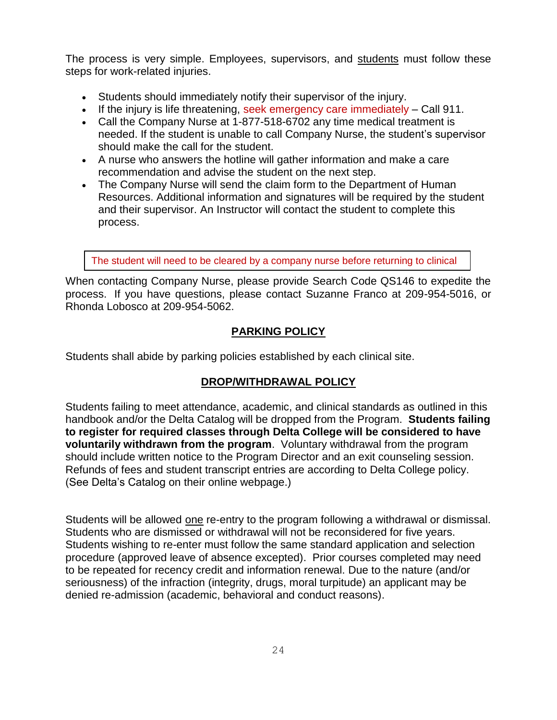The process is very simple. Employees, supervisors, and students must follow these steps for work-related injuries.

- Students should immediately notify their supervisor of the injury.
- If the injury is life threatening, seek emergency care immediately Call 911.
- Call the Company Nurse at 1-877-518-6702 any time medical treatment is needed. If the student is unable to call Company Nurse, the student's supervisor should make the call for the student.
- A nurse who answers the hotline will gather information and make a care recommendation and advise the student on the next step.
- The Company Nurse will send the claim form to the Department of Human Resources. Additional information and signatures will be required by the student and their supervisor. An Instructor will contact the student to complete this process.

The student will need to be cleared by a company nurse before returning to clinical

When contacting Company Nurse, please provide Search Code QS146 to expedite the process. If you have questions, please contact Suzanne Franco at 209-954-5016, or Rhonda Lobosco at 209-954-5062.

#### **PARKING POLICY**

Students shall abide by parking policies established by each clinical site.

#### **DROP/WITHDRAWAL POLICY**

Students failing to meet attendance, academic, and clinical standards as outlined in this handbook and/or the Delta Catalog will be dropped from the Program. **Students failing to register for required classes through Delta College will be considered to have voluntarily withdrawn from the program**. Voluntary withdrawal from the program should include written notice to the Program Director and an exit counseling session. Refunds of fees and student transcript entries are according to Delta College policy. (See Delta's Catalog on their online webpage.)

Students will be allowed one re-entry to the program following a withdrawal or dismissal. Students who are dismissed or withdrawal will not be reconsidered for five years. Students wishing to re-enter must follow the same standard application and selection procedure (approved leave of absence excepted). Prior courses completed may need to be repeated for recency credit and information renewal. Due to the nature (and/or seriousness) of the infraction (integrity, drugs, moral turpitude) an applicant may be denied re-admission (academic, behavioral and conduct reasons).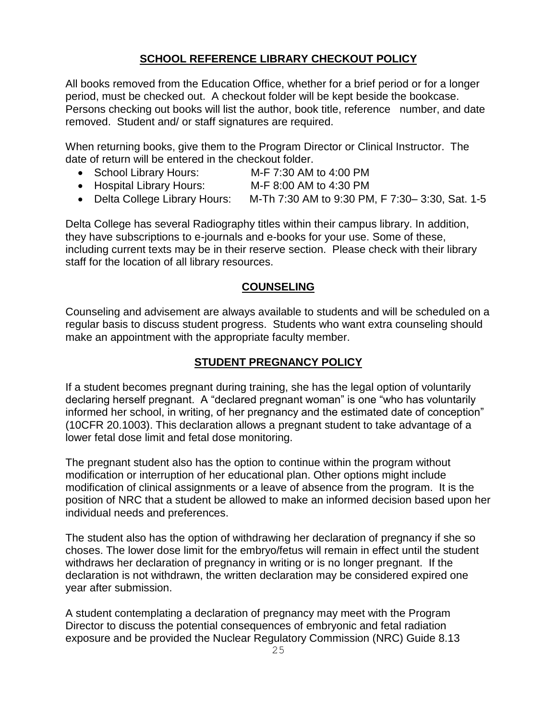#### **SCHOOL REFERENCE LIBRARY CHECKOUT POLICY**

All books removed from the Education Office, whether for a brief period or for a longer period, must be checked out. A checkout folder will be kept beside the bookcase. Persons checking out books will list the author, book title, reference number, and date removed. Student and/ or staff signatures are required.

When returning books, give them to the Program Director or Clinical Instructor. The date of return will be entered in the checkout folder.

- School Library Hours: M-F 7:30 AM to 4:00 PM
- Hospital Library Hours: M-F 8:00 AM to 4:30 PM
- Delta College Library Hours: M-Th 7:30 AM to 9:30 PM, F 7:30– 3:30, Sat. 1-5

Delta College has several Radiography titles within their campus library. In addition, they have subscriptions to e-journals and e-books for your use. Some of these, including current texts may be in their reserve section. Please check with their library staff for the location of all library resources.

#### **COUNSELING**

Counseling and advisement are always available to students and will be scheduled on a regular basis to discuss student progress. Students who want extra counseling should make an appointment with the appropriate faculty member.

#### **STUDENT PREGNANCY POLICY**

If a student becomes pregnant during training, she has the legal option of voluntarily declaring herself pregnant. A "declared pregnant woman" is one "who has voluntarily informed her school, in writing, of her pregnancy and the estimated date of conception" (10CFR 20.1003). This declaration allows a pregnant student to take advantage of a lower fetal dose limit and fetal dose monitoring.

The pregnant student also has the option to continue within the program without modification or interruption of her educational plan. Other options might include modification of clinical assignments or a leave of absence from the program. It is the position of NRC that a student be allowed to make an informed decision based upon her individual needs and preferences.

The student also has the option of withdrawing her declaration of pregnancy if she so choses. The lower dose limit for the embryo/fetus will remain in effect until the student withdraws her declaration of pregnancy in writing or is no longer pregnant. If the declaration is not withdrawn, the written declaration may be considered expired one year after submission.

A student contemplating a declaration of pregnancy may meet with the Program Director to discuss the potential consequences of embryonic and fetal radiation exposure and be provided the Nuclear Regulatory Commission (NRC) Guide 8.13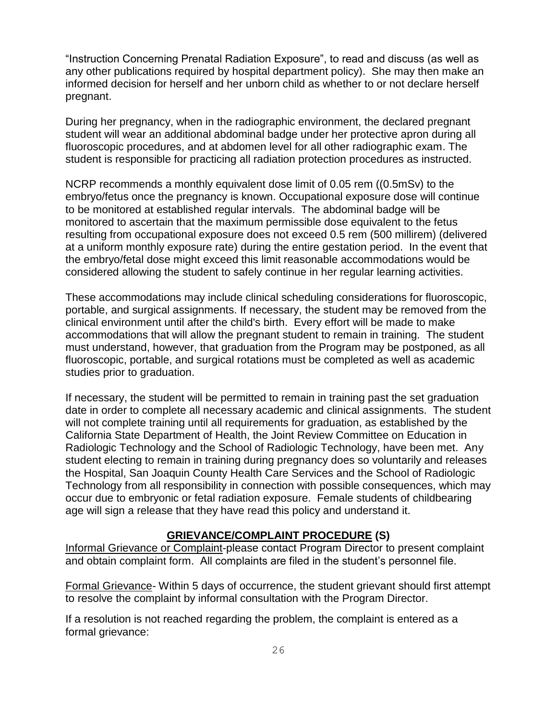"Instruction Concerning Prenatal Radiation Exposure", to read and discuss (as well as any other publications required by hospital department policy). She may then make an informed decision for herself and her unborn child as whether to or not declare herself pregnant.

During her pregnancy, when in the radiographic environment, the declared pregnant student will wear an additional abdominal badge under her protective apron during all fluoroscopic procedures, and at abdomen level for all other radiographic exam. The student is responsible for practicing all radiation protection procedures as instructed.

NCRP recommends a monthly equivalent dose limit of 0.05 rem ((0.5mSv) to the embryo/fetus once the pregnancy is known. Occupational exposure dose will continue to be monitored at established regular intervals. The abdominal badge will be monitored to ascertain that the maximum permissible dose equivalent to the fetus resulting from occupational exposure does not exceed 0.5 rem (500 millirem) (delivered at a uniform monthly exposure rate) during the entire gestation period. In the event that the embryo/fetal dose might exceed this limit reasonable accommodations would be considered allowing the student to safely continue in her regular learning activities.

These accommodations may include clinical scheduling considerations for fluoroscopic, portable, and surgical assignments. If necessary, the student may be removed from the clinical environment until after the child's birth. Every effort will be made to make accommodations that will allow the pregnant student to remain in training. The student must understand, however, that graduation from the Program may be postponed, as all fluoroscopic, portable, and surgical rotations must be completed as well as academic studies prior to graduation.

If necessary, the student will be permitted to remain in training past the set graduation date in order to complete all necessary academic and clinical assignments. The student will not complete training until all requirements for graduation, as established by the California State Department of Health, the Joint Review Committee on Education in Radiologic Technology and the School of Radiologic Technology, have been met. Any student electing to remain in training during pregnancy does so voluntarily and releases the Hospital, San Joaquin County Health Care Services and the School of Radiologic Technology from all responsibility in connection with possible consequences, which may occur due to embryonic or fetal radiation exposure. Female students of childbearing age will sign a release that they have read this policy and understand it.

#### **GRIEVANCE/COMPLAINT PROCEDURE (S)**

Informal Grievance or Complaint-please contact Program Director to present complaint and obtain complaint form. All complaints are filed in the student's personnel file.

Formal Grievance- Within 5 days of occurrence, the student grievant should first attempt to resolve the complaint by informal consultation with the Program Director.

If a resolution is not reached regarding the problem, the complaint is entered as a formal grievance: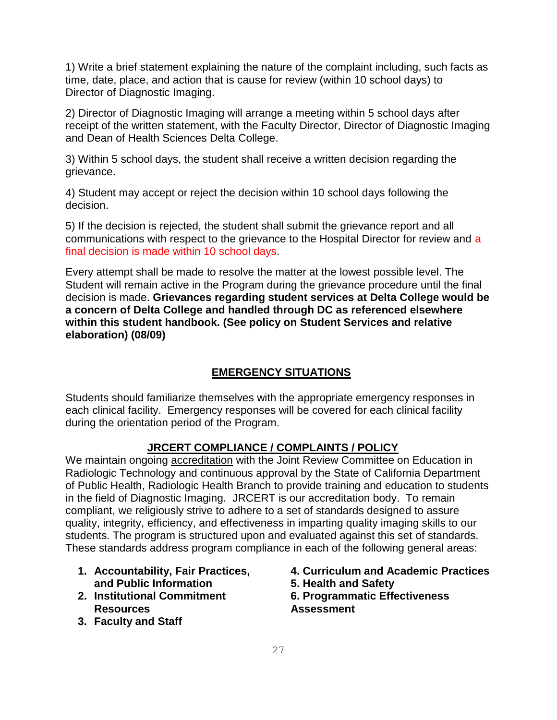1) Write a brief statement explaining the nature of the complaint including, such facts as time, date, place, and action that is cause for review (within 10 school days) to Director of Diagnostic Imaging.

2) Director of Diagnostic Imaging will arrange a meeting within 5 school days after receipt of the written statement, with the Faculty Director, Director of Diagnostic Imaging and Dean of Health Sciences Delta College.

3) Within 5 school days, the student shall receive a written decision regarding the grievance.

4) Student may accept or reject the decision within 10 school days following the decision.

5) If the decision is rejected, the student shall submit the grievance report and all communications with respect to the grievance to the Hospital Director for review and a final decision is made within 10 school days.

Every attempt shall be made to resolve the matter at the lowest possible level. The Student will remain active in the Program during the grievance procedure until the final decision is made. **Grievances regarding student services at Delta College would be a concern of Delta College and handled through DC as referenced elsewhere within this student handbook. (See policy on Student Services and relative elaboration) (08/09)**

#### **EMERGENCY SITUATIONS**

Students should familiarize themselves with the appropriate emergency responses in each clinical facility. Emergency responses will be covered for each clinical facility during the orientation period of the Program.

#### **JRCERT COMPLIANCE / COMPLAINTS / POLICY**

We maintain ongoing accreditation with the Joint Review Committee on Education in Radiologic Technology and continuous approval by the State of California Department of Public Health, Radiologic Health Branch to provide training and education to students in the field of Diagnostic Imaging. JRCERT is our accreditation body. To remain compliant, we religiously strive to adhere to a set of standards designed to assure quality, integrity, efficiency, and effectiveness in imparting quality imaging skills to our students. The program is structured upon and evaluated against this set of standards. These standards address program compliance in each of the following general areas:

- **1. Accountability, Fair Practices, and Public Information**
- **2. Institutional Commitment Resources**
- **3. Faculty and Staff**
- **4. Curriculum and Academic Practices 5. Health and Safety**
- **6. Programmatic Effectiveness Assessment**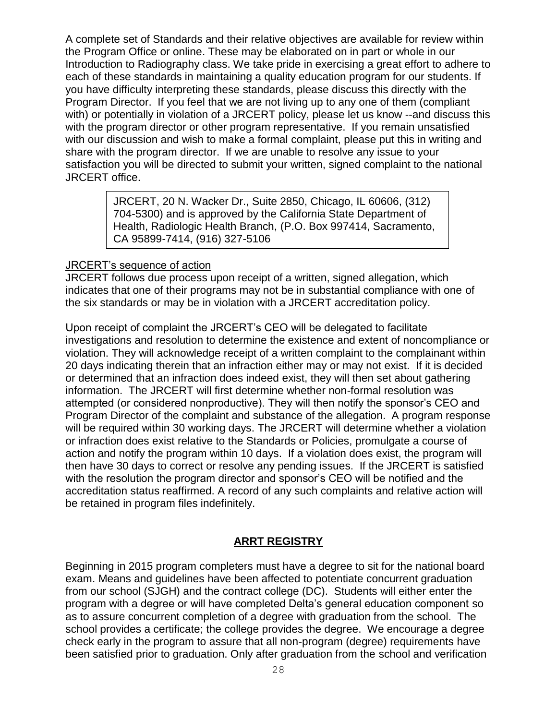A complete set of Standards and their relative objectives are available for review within the Program Office or online. These may be elaborated on in part or whole in our Introduction to Radiography class. We take pride in exercising a great effort to adhere to each of these standards in maintaining a quality education program for our students. If you have difficulty interpreting these standards, please discuss this directly with the Program Director. If you feel that we are not living up to any one of them (compliant with) or potentially in violation of a JRCERT policy, please let us know --and discuss this with the program director or other program representative. If you remain unsatisfied with our discussion and wish to make a formal complaint, please put this in writing and share with the program director. If we are unable to resolve any issue to your satisfaction you will be directed to submit your written, signed complaint to the national JRCERT office.

> JRCERT, 20 N. Wacker Dr., Suite 2850, Chicago, IL 60606, (312) 704-5300) and is approved by the California State Department of Health, Radiologic Health Branch, (P.O. Box 997414, Sacramento, CA 95899-7414, (916) 327-5106

#### JRCERT's sequence of action

JRCERT follows due process upon receipt of a written, signed allegation, which indicates that one of their programs may not be in substantial compliance with one of the six standards or may be in violation with a JRCERT accreditation policy.

Upon receipt of complaint the JRCERT's CEO will be delegated to facilitate investigations and resolution to determine the existence and extent of noncompliance or violation. They will acknowledge receipt of a written complaint to the complainant within 20 days indicating therein that an infraction either may or may not exist. If it is decided or determined that an infraction does indeed exist, they will then set about gathering information. The JRCERT will first determine whether non-formal resolution was attempted (or considered nonproductive). They will then notify the sponsor's CEO and Program Director of the complaint and substance of the allegation. A program response will be required within 30 working days. The JRCERT will determine whether a violation or infraction does exist relative to the Standards or Policies, promulgate a course of action and notify the program within 10 days. If a violation does exist, the program will then have 30 days to correct or resolve any pending issues. If the JRCERT is satisfied with the resolution the program director and sponsor's CEO will be notified and the accreditation status reaffirmed. A record of any such complaints and relative action will be retained in program files indefinitely.

#### **ARRT REGISTRY**

Beginning in 2015 program completers must have a degree to sit for the national board exam. Means and guidelines have been affected to potentiate concurrent graduation from our school (SJGH) and the contract college (DC). Students will either enter the program with a degree or will have completed Delta's general education component so as to assure concurrent completion of a degree with graduation from the school. The school provides a certificate; the college provides the degree. We encourage a degree check early in the program to assure that all non-program (degree) requirements have been satisfied prior to graduation. Only after graduation from the school and verification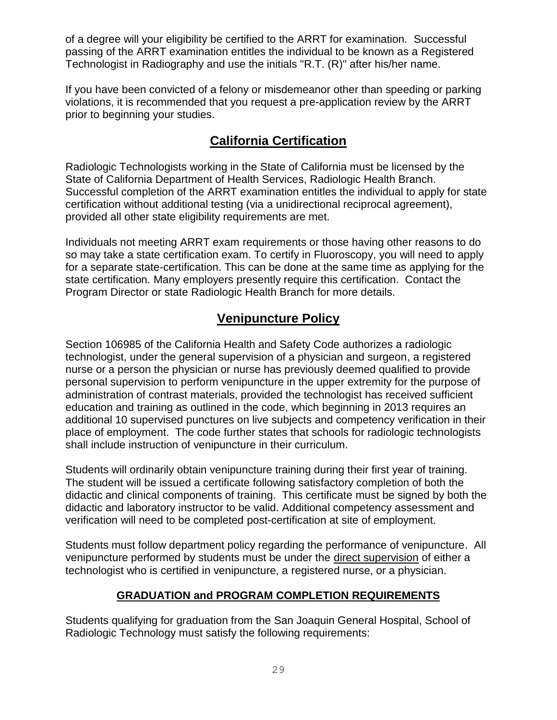of a degree will your eligibility be certified to the ARRT for examination. Successful passing of the ARRT examination entitles the individual to be known as a Registered Technologist in Radiography and use the initials "R.T. (R)" after his/her name.

If you have been convicted of a felony or misdemeanor other than speeding or parking violations, it is recommended that you request a pre-application review by the ARRT prior to beginning your studies.

# **California Certification**

Radiologic Technologists working in the State of California must be licensed by the State of California Department of Health Services, Radiologic Health Branch. Successful completion of the ARRT examination entitles the individual to apply for state certification without additional testing (via a unidirectional reciprocal agreement), provided all other state eligibility requirements are met.

Individuals not meeting ARRT exam requirements or those having other reasons to do so may take a state certification exam. To certify in Fluoroscopy, you will need to apply for a separate state-certification. This can be done at the same time as applying for the state certification. Many employers presently require this certification. Contact the Program Director or state Radiologic Health Branch for more details.

# **Venipuncture Policy**

Section 106985 of the California Health and Safety Code authorizes a radiologic technologist, under the general supervision of a physician and surgeon, a registered nurse or a person the physician or nurse has previously deemed qualified to provide personal supervision to perform venipuncture in the upper extremity for the purpose of administration of contrast materials, provided the technologist has received sufficient education and training as outlined in the code, which beginning in 2013 requires an additional 10 supervised punctures on live subjects and competency verification in their place of employment. The code further states that schools for radiologic technologists shall include instruction of venipuncture in their curriculum.

Students will ordinarily obtain venipuncture training during their first year of training. The student will be issued a certificate following satisfactory completion of both the didactic and clinical components of training. This certificate must be signed by both the didactic and laboratory instructor to be valid. Additional competency assessment and verification will need to be completed post-certification at site of employment.

Students must follow department policy regarding the performance of venipuncture. All venipuncture performed by students must be under the direct supervision of either a technologist who is certified in venipuncture, a registered nurse, or a physician.

# **GRADUATION and PROGRAM COMPLETION REQUIREMENTS**

Students qualifying for graduation from the San Joaquin General Hospital, School of Radiologic Technology must satisfy the following requirements: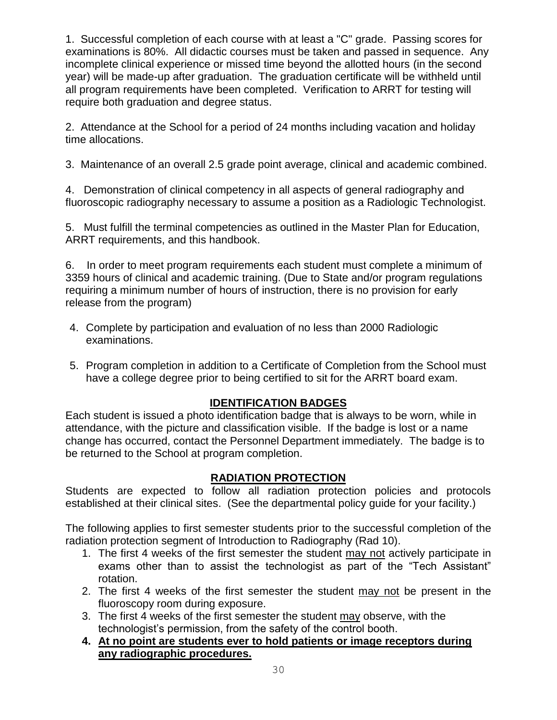1. Successful completion of each course with at least a "C" grade. Passing scores for examinations is 80%. All didactic courses must be taken and passed in sequence. Any incomplete clinical experience or missed time beyond the allotted hours (in the second year) will be made-up after graduation. The graduation certificate will be withheld until all program requirements have been completed. Verification to ARRT for testing will require both graduation and degree status.

2. Attendance at the School for a period of 24 months including vacation and holiday time allocations.

3. Maintenance of an overall 2.5 grade point average, clinical and academic combined.

4. Demonstration of clinical competency in all aspects of general radiography and fluoroscopic radiography necessary to assume a position as a Radiologic Technologist.

5. Must fulfill the terminal competencies as outlined in the Master Plan for Education, ARRT requirements, and this handbook.

6. In order to meet program requirements each student must complete a minimum of 3359 hours of clinical and academic training. (Due to State and/or program regulations requiring a minimum number of hours of instruction, there is no provision for early release from the program)

- 4. Complete by participation and evaluation of no less than 2000 Radiologic examinations.
- 5. Program completion in addition to a Certificate of Completion from the School must have a college degree prior to being certified to sit for the ARRT board exam.

# **IDENTIFICATION BADGES**

Each student is issued a photo identification badge that is always to be worn, while in attendance, with the picture and classification visible. If the badge is lost or a name change has occurred, contact the Personnel Department immediately. The badge is to be returned to the School at program completion.

# **RADIATION PROTECTION**

Students are expected to follow all radiation protection policies and protocols established at their clinical sites. (See the departmental policy guide for your facility.)

The following applies to first semester students prior to the successful completion of the radiation protection segment of Introduction to Radiography (Rad 10).

- 1. The first 4 weeks of the first semester the student may not actively participate in exams other than to assist the technologist as part of the "Tech Assistant" rotation.
- 2. The first 4 weeks of the first semester the student may not be present in the fluoroscopy room during exposure.
- 3. The first 4 weeks of the first semester the student may observe, with the technologist's permission, from the safety of the control booth.
- **4. At no point are students ever to hold patients or image receptors during any radiographic procedures.**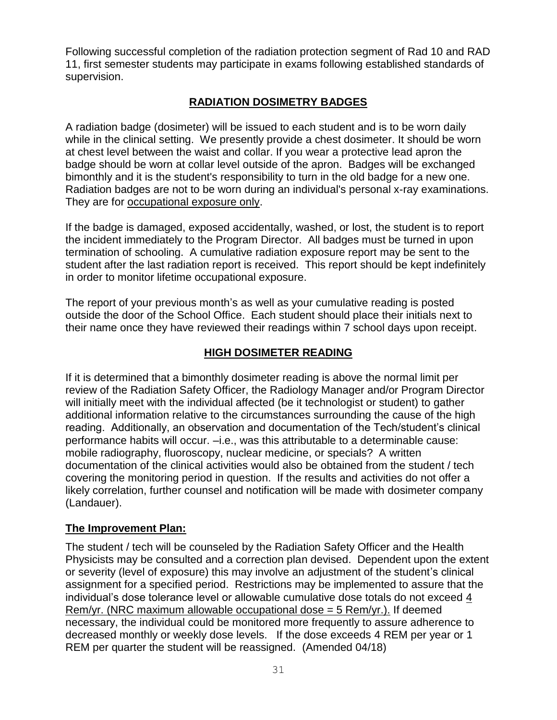Following successful completion of the radiation protection segment of Rad 10 and RAD 11, first semester students may participate in exams following established standards of supervision.

# **RADIATION DOSIMETRY BADGES**

A radiation badge (dosimeter) will be issued to each student and is to be worn daily while in the clinical setting. We presently provide a chest dosimeter. It should be worn at chest level between the waist and collar. If you wear a protective lead apron the badge should be worn at collar level outside of the apron. Badges will be exchanged bimonthly and it is the student's responsibility to turn in the old badge for a new one. Radiation badges are not to be worn during an individual's personal x-ray examinations. They are for occupational exposure only.

If the badge is damaged, exposed accidentally, washed, or lost, the student is to report the incident immediately to the Program Director. All badges must be turned in upon termination of schooling. A cumulative radiation exposure report may be sent to the student after the last radiation report is received. This report should be kept indefinitely in order to monitor lifetime occupational exposure.

The report of your previous month's as well as your cumulative reading is posted outside the door of the School Office. Each student should place their initials next to their name once they have reviewed their readings within 7 school days upon receipt.

# **HIGH DOSIMETER READING**

If it is determined that a bimonthly dosimeter reading is above the normal limit per review of the Radiation Safety Officer, the Radiology Manager and/or Program Director will initially meet with the individual affected (be it technologist or student) to gather additional information relative to the circumstances surrounding the cause of the high reading. Additionally, an observation and documentation of the Tech/student's clinical performance habits will occur. –i.e., was this attributable to a determinable cause: mobile radiography, fluoroscopy, nuclear medicine, or specials? A written documentation of the clinical activities would also be obtained from the student / tech covering the monitoring period in question. If the results and activities do not offer a likely correlation, further counsel and notification will be made with dosimeter company (Landauer).

#### **The Improvement Plan:**

The student / tech will be counseled by the Radiation Safety Officer and the Health Physicists may be consulted and a correction plan devised. Dependent upon the extent or severity (level of exposure) this may involve an adjustment of the student's clinical assignment for a specified period. Restrictions may be implemented to assure that the individual's dose tolerance level or allowable cumulative dose totals do not exceed 4 Rem/yr. (NRC maximum allowable occupational dose  $=$  5 Rem/yr.). If deemed necessary, the individual could be monitored more frequently to assure adherence to decreased monthly or weekly dose levels. If the dose exceeds 4 REM per year or 1 REM per quarter the student will be reassigned. (Amended 04/18)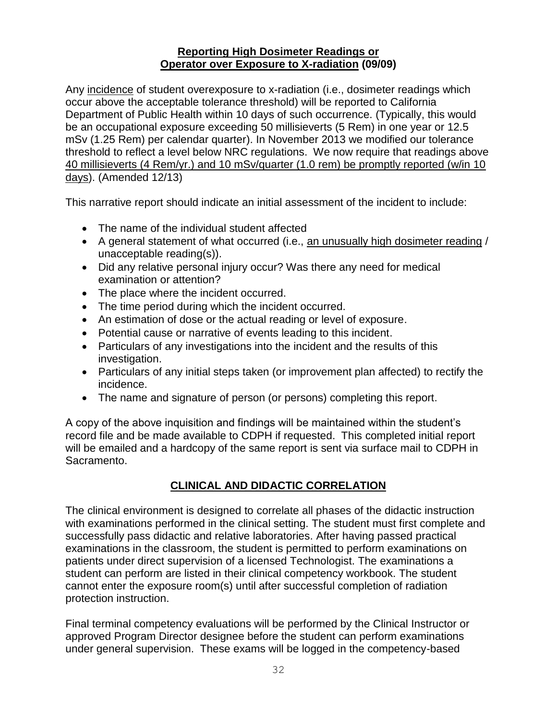#### **Reporting High Dosimeter Readings or Operator over Exposure to X-radiation (09/09)**

Any incidence of student overexposure to x-radiation (i.e., dosimeter readings which occur above the acceptable tolerance threshold) will be reported to California Department of Public Health within 10 days of such occurrence. (Typically, this would be an occupational exposure exceeding 50 millisieverts (5 Rem) in one year or 12.5 mSv (1.25 Rem) per calendar quarter). In November 2013 we modified our tolerance threshold to reflect a level below NRC regulations. We now require that readings above 40 millisieverts (4 Rem/yr.) and 10 mSv/quarter (1.0 rem) be promptly reported (w/in 10 days). (Amended 12/13)

This narrative report should indicate an initial assessment of the incident to include:

- The name of the individual student affected
- A general statement of what occurred (i.e., an unusually high dosimeter reading / unacceptable reading(s)).
- Did any relative personal injury occur? Was there any need for medical examination or attention?
- The place where the incident occurred.
- The time period during which the incident occurred.
- An estimation of dose or the actual reading or level of exposure.
- Potential cause or narrative of events leading to this incident.
- Particulars of any investigations into the incident and the results of this investigation.
- Particulars of any initial steps taken (or improvement plan affected) to rectify the incidence.
- The name and signature of person (or persons) completing this report.

A copy of the above inquisition and findings will be maintained within the student's record file and be made available to CDPH if requested. This completed initial report will be emailed and a hardcopy of the same report is sent via surface mail to CDPH in Sacramento.

#### **CLINICAL AND DIDACTIC CORRELATION**

The clinical environment is designed to correlate all phases of the didactic instruction with examinations performed in the clinical setting. The student must first complete and successfully pass didactic and relative laboratories. After having passed practical examinations in the classroom, the student is permitted to perform examinations on patients under direct supervision of a licensed Technologist. The examinations a student can perform are listed in their clinical competency workbook. The student cannot enter the exposure room(s) until after successful completion of radiation protection instruction.

Final terminal competency evaluations will be performed by the Clinical Instructor or approved Program Director designee before the student can perform examinations under general supervision. These exams will be logged in the competency-based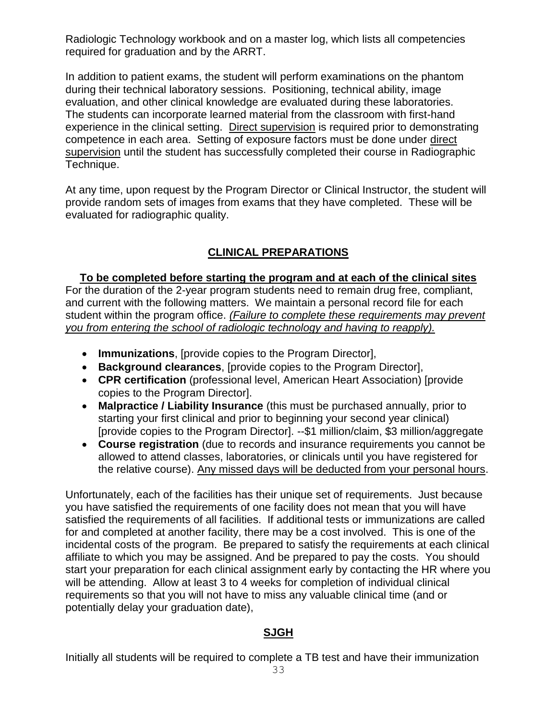Radiologic Technology workbook and on a master log, which lists all competencies required for graduation and by the ARRT.

In addition to patient exams, the student will perform examinations on the phantom during their technical laboratory sessions. Positioning, technical ability, image evaluation, and other clinical knowledge are evaluated during these laboratories. The students can incorporate learned material from the classroom with first-hand experience in the clinical setting. Direct supervision is required prior to demonstrating competence in each area. Setting of exposure factors must be done under direct supervision until the student has successfully completed their course in Radiographic Technique.

At any time, upon request by the Program Director or Clinical Instructor, the student will provide random sets of images from exams that they have completed. These will be evaluated for radiographic quality.

# **CLINICAL PREPARATIONS**

**To be completed before starting the program and at each of the clinical sites** For the duration of the 2-year program students need to remain drug free, compliant, and current with the following matters. We maintain a personal record file for each student within the program office. *(Failure to complete these requirements may prevent you from entering the school of radiologic technology and having to reapply).*

- **Immunizations**, [provide copies to the Program Director],
- **Background clearances**, [provide copies to the Program Director],
- **CPR certification** (professional level, American Heart Association) [provide copies to the Program Director].
- **Malpractice / Liability Insurance** (this must be purchased annually, prior to starting your first clinical and prior to beginning your second year clinical) [provide copies to the Program Director]. --\$1 million/claim, \$3 million/aggregate
- **Course registration** (due to records and insurance requirements you cannot be allowed to attend classes, laboratories, or clinicals until you have registered for the relative course). Any missed days will be deducted from your personal hours.

Unfortunately, each of the facilities has their unique set of requirements. Just because you have satisfied the requirements of one facility does not mean that you will have satisfied the requirements of all facilities. If additional tests or immunizations are called for and completed at another facility, there may be a cost involved. This is one of the incidental costs of the program. Be prepared to satisfy the requirements at each clinical affiliate to which you may be assigned. And be prepared to pay the costs. You should start your preparation for each clinical assignment early by contacting the HR where you will be attending. Allow at least 3 to 4 weeks for completion of individual clinical requirements so that you will not have to miss any valuable clinical time (and or potentially delay your graduation date),

#### **SJGH**

Initially all students will be required to complete a TB test and have their immunization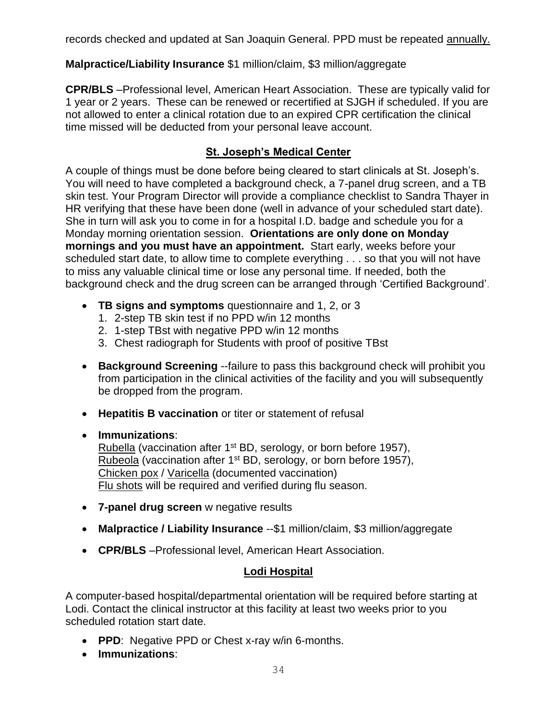records checked and updated at San Joaquin General. PPD must be repeated annually.

# **Malpractice/Liability Insurance** \$1 million/claim, \$3 million/aggregate

**CPR/BLS** –Professional level, American Heart Association. These are typically valid for 1 year or 2 years. These can be renewed or recertified at SJGH if scheduled. If you are not allowed to enter a clinical rotation due to an expired CPR certification the clinical time missed will be deducted from your personal leave account.

# **St. Joseph's Medical Center**

A couple of things must be done before being cleared to start clinicals at St. Joseph's. You will need to have completed a background check, a 7-panel drug screen, and a TB skin test. Your Program Director will provide a compliance checklist to Sandra Thayer in HR verifying that these have been done (well in advance of your scheduled start date). She in turn will ask you to come in for a hospital I.D. badge and schedule you for a Monday morning orientation session. **Orientations are only done on Monday mornings and you must have an appointment.** Start early, weeks before your scheduled start date, to allow time to complete everything . . . so that you will not have to miss any valuable clinical time or lose any personal time. If needed, both the background check and the drug screen can be arranged through 'Certified Background'.

- **TB signs and symptoms** questionnaire and 1, 2, or 3
	- 1. 2-step TB skin test if no PPD w/in 12 months
	- 2. 1-step TBst with negative PPD w/in 12 months
	- 3. Chest radiograph for Students with proof of positive TBst
- **Background Screening** --failure to pass this background check will prohibit you from participation in the clinical activities of the facility and you will subsequently be dropped from the program.
- **Hepatitis B vaccination** or titer or statement of refusal
- **Immunizations**: Rubella (vaccination after 1<sup>st</sup> BD, serology, or born before 1957), Rubeola (vaccination after 1<sup>st</sup> BD, serology, or born before 1957), Chicken pox / Varicella (documented vaccination) Flu shots will be required and verified during flu season.
- **7-panel drug screen** w negative results
- **Malpractice / Liability Insurance** --\$1 million/claim, \$3 million/aggregate
- **CPR/BLS** –Professional level, American Heart Association.

# **Lodi Hospital**

A computer-based hospital/departmental orientation will be required before starting at Lodi. Contact the clinical instructor at this facility at least two weeks prior to you scheduled rotation start date.

- **PPD**: Negative PPD or Chest x-ray w/in 6-months.
- **Immunizations**: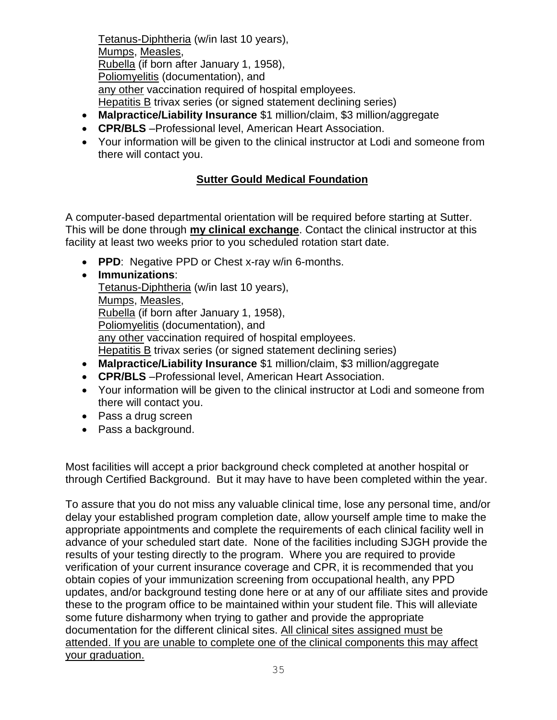Tetanus-Diphtheria (w/in last 10 years), Mumps, Measles, Rubella (if born after January 1, 1958), Poliomyelitis (documentation), and any other vaccination required of hospital employees. Hepatitis B trivax series (or signed statement declining series)

- **Malpractice/Liability Insurance** \$1 million/claim, \$3 million/aggregate
- **CPR/BLS** –Professional level, American Heart Association.
- Your information will be given to the clinical instructor at Lodi and someone from there will contact you.

# **Sutter Gould Medical Foundation**

A computer-based departmental orientation will be required before starting at Sutter. This will be done through **my clinical exchange**. Contact the clinical instructor at this facility at least two weeks prior to you scheduled rotation start date.

- **PPD**: Negative PPD or Chest x-ray w/in 6-months.
- **Immunizations**: Tetanus-Diphtheria (w/in last 10 years), Mumps, Measles, Rubella (if born after January 1, 1958), Poliomyelitis (documentation), and any other vaccination required of hospital employees. Hepatitis B trivax series (or signed statement declining series)
- **Malpractice/Liability Insurance** \$1 million/claim, \$3 million/aggregate
- **CPR/BLS** –Professional level, American Heart Association.
- Your information will be given to the clinical instructor at Lodi and someone from there will contact you.
- Pass a drug screen
- Pass a background.

Most facilities will accept a prior background check completed at another hospital or through Certified Background. But it may have to have been completed within the year.

To assure that you do not miss any valuable clinical time, lose any personal time, and/or delay your established program completion date, allow yourself ample time to make the appropriate appointments and complete the requirements of each clinical facility well in advance of your scheduled start date. None of the facilities including SJGH provide the results of your testing directly to the program. Where you are required to provide verification of your current insurance coverage and CPR, it is recommended that you obtain copies of your immunization screening from occupational health, any PPD updates, and/or background testing done here or at any of our affiliate sites and provide these to the program office to be maintained within your student file. This will alleviate some future disharmony when trying to gather and provide the appropriate documentation for the different clinical sites. All clinical sites assigned must be attended. If you are unable to complete one of the clinical components this may affect your graduation.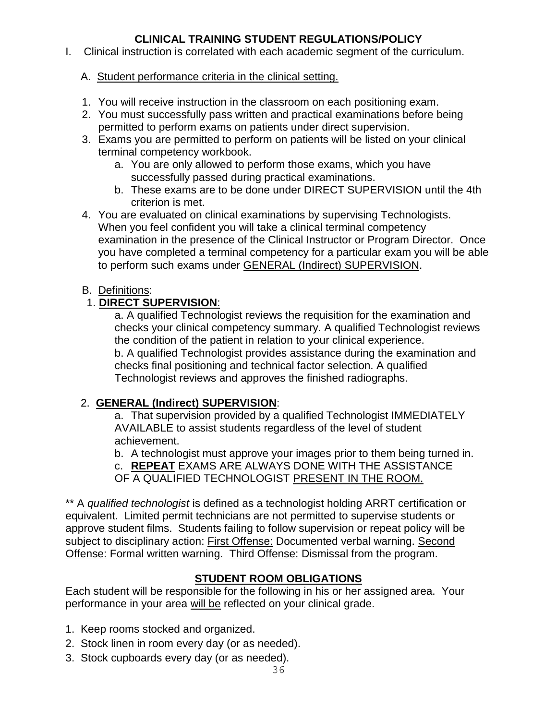# **CLINICAL TRAINING STUDENT REGULATIONS/POLICY**

I. Clinical instruction is correlated with each academic segment of the curriculum.

#### A. Student performance criteria in the clinical setting.

- 1. You will receive instruction in the classroom on each positioning exam.
- 2. You must successfully pass written and practical examinations before being permitted to perform exams on patients under direct supervision.
- 3. Exams you are permitted to perform on patients will be listed on your clinical terminal competency workbook.
	- a. You are only allowed to perform those exams, which you have successfully passed during practical examinations.
	- b. These exams are to be done under DIRECT SUPERVISION until the 4th criterion is met.
- 4. You are evaluated on clinical examinations by supervising Technologists. When you feel confident you will take a clinical terminal competency examination in the presence of the Clinical Instructor or Program Director. Once you have completed a terminal competency for a particular exam you will be able to perform such exams under GENERAL (Indirect) SUPERVISION.

#### B. Definitions:

#### 1. **DIRECT SUPERVISION**:

a. A qualified Technologist reviews the requisition for the examination and checks your clinical competency summary. A qualified Technologist reviews the condition of the patient in relation to your clinical experience. b. A qualified Technologist provides assistance during the examination and checks final positioning and technical factor selection. A qualified Technologist reviews and approves the finished radiographs.

#### 2. **GENERAL (Indirect) SUPERVISION**:

a. That supervision provided by a qualified Technologist IMMEDIATELY AVAILABLE to assist students regardless of the level of student achievement.

b. A technologist must approve your images prior to them being turned in. c. **REPEAT** EXAMS ARE ALWAYS DONE WITH THE ASSISTANCE OF A QUALIFIED TECHNOLOGIST PRESENT IN THE ROOM.

\*\* A *qualified technologist* is defined as a technologist holding ARRT certification or equivalent. Limited permit technicians are not permitted to supervise students or approve student films. Students failing to follow supervision or repeat policy will be subject to disciplinary action: First Offense: Documented verbal warning. Second Offense: Formal written warning. Third Offense: Dismissal from the program.

#### **STUDENT ROOM OBLIGATIONS**

Each student will be responsible for the following in his or her assigned area. Your performance in your area will be reflected on your clinical grade.

- 1. Keep rooms stocked and organized.
- 2. Stock linen in room every day (or as needed).
- 3. Stock cupboards every day (or as needed).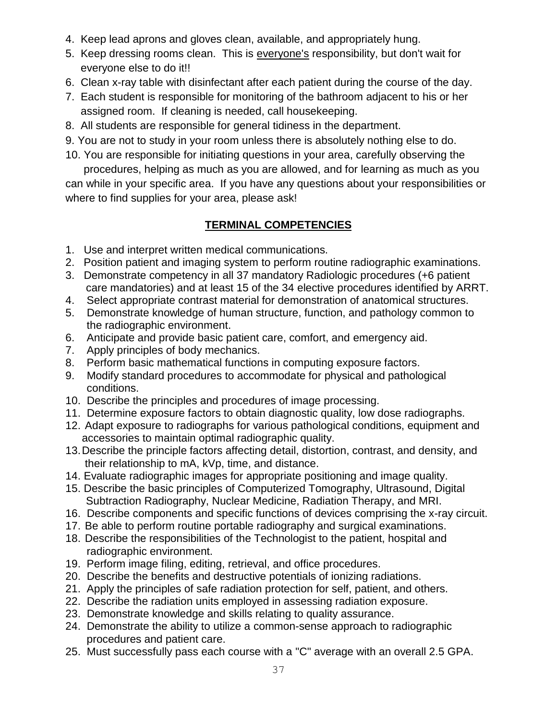- 4. Keep lead aprons and gloves clean, available, and appropriately hung.
- 5. Keep dressing rooms clean. This is everyone's responsibility, but don't wait for everyone else to do it!!
- 6. Clean x-ray table with disinfectant after each patient during the course of the day.
- 7. Each student is responsible for monitoring of the bathroom adjacent to his or her assigned room. If cleaning is needed, call housekeeping.
- 8. All students are responsible for general tidiness in the department.
- 9. You are not to study in your room unless there is absolutely nothing else to do.
- 10. You are responsible for initiating questions in your area, carefully observing the procedures, helping as much as you are allowed, and for learning as much as you

can while in your specific area. If you have any questions about your responsibilities or where to find supplies for your area, please ask!

# **TERMINAL COMPETENCIES**

- 1. Use and interpret written medical communications.
- 2. Position patient and imaging system to perform routine radiographic examinations.
- 3. Demonstrate competency in all 37 mandatory Radiologic procedures (+6 patient care mandatories) and at least 15 of the 34 elective procedures identified by ARRT.
- 4. Select appropriate contrast material for demonstration of anatomical structures.
- 5. Demonstrate knowledge of human structure, function, and pathology common to the radiographic environment.
- 6. Anticipate and provide basic patient care, comfort, and emergency aid.
- 7. Apply principles of body mechanics.
- 8. Perform basic mathematical functions in computing exposure factors.
- 9. Modify standard procedures to accommodate for physical and pathological conditions.
- 10. Describe the principles and procedures of image processing.
- 11. Determine exposure factors to obtain diagnostic quality, low dose radiographs.
- 12. Adapt exposure to radiographs for various pathological conditions, equipment and accessories to maintain optimal radiographic quality.
- 13.Describe the principle factors affecting detail, distortion, contrast, and density, and their relationship to mA, kVp, time, and distance.
- 14. Evaluate radiographic images for appropriate positioning and image quality.
- 15. Describe the basic principles of Computerized Tomography, Ultrasound, Digital Subtraction Radiography, Nuclear Medicine, Radiation Therapy, and MRI.
- 16. Describe components and specific functions of devices comprising the x-ray circuit.
- 17. Be able to perform routine portable radiography and surgical examinations.
- 18. Describe the responsibilities of the Technologist to the patient, hospital and radiographic environment.
- 19. Perform image filing, editing, retrieval, and office procedures.
- 20. Describe the benefits and destructive potentials of ionizing radiations.
- 21. Apply the principles of safe radiation protection for self, patient, and others.
- 22. Describe the radiation units employed in assessing radiation exposure.
- 23. Demonstrate knowledge and skills relating to quality assurance.
- 24. Demonstrate the ability to utilize a common-sense approach to radiographic procedures and patient care.
- 25. Must successfully pass each course with a "C" average with an overall 2.5 GPA.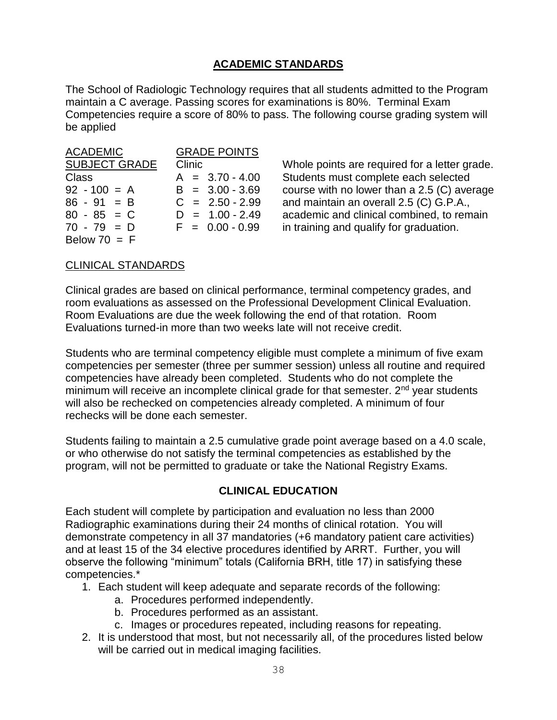#### **ACADEMIC STANDARDS**

The School of Radiologic Technology requires that all students admitted to the Program maintain a C average. Passing scores for examinations is 80%. Terminal Exam Competencies require a score of 80% to pass. The following course grading system will be applied

| <b>ACADEMIC</b>      | <b>GRADE POINTS</b> |  |  |
|----------------------|---------------------|--|--|
| <b>SUBJECT GRADE</b> | Clinic              |  |  |
| <b>Class</b>         | $A = 3.70 - 4.00$   |  |  |
| $92 - 100 = A$       | $B = 3.00 - 3.69$   |  |  |
| $86 - 91 = B$        | $C = 2.50 - 2.99$   |  |  |
| $80 - 85 = C$        | $D = 1.00 - 2.49$   |  |  |
| $70 - 79 = D$        | $F = 0.00 - 0.99$   |  |  |
| Below $70 = F$       |                     |  |  |

Whole points are required for a letter grade. Students must complete each selected course with no lower than a 2.5 (C) average and maintain an overall 2.5 (C) G.P.A., academic and clinical combined, to remain in training and qualify for graduation.

#### CLINICAL STANDARDS

Clinical grades are based on clinical performance, terminal competency grades, and room evaluations as assessed on the Professional Development Clinical Evaluation. Room Evaluations are due the week following the end of that rotation. Room Evaluations turned-in more than two weeks late will not receive credit.

Students who are terminal competency eligible must complete a minimum of five exam competencies per semester (three per summer session) unless all routine and required competencies have already been completed. Students who do not complete the minimum will receive an incomplete clinical grade for that semester.  $2<sup>nd</sup>$  year students will also be rechecked on competencies already completed. A minimum of four rechecks will be done each semester.

Students failing to maintain a 2.5 cumulative grade point average based on a 4.0 scale, or who otherwise do not satisfy the terminal competencies as established by the program, will not be permitted to graduate or take the National Registry Exams.

#### **CLINICAL EDUCATION**

Each student will complete by participation and evaluation no less than 2000 Radiographic examinations during their 24 months of clinical rotation. You will demonstrate competency in all 37 mandatories (+6 mandatory patient care activities) and at least 15 of the 34 elective procedures identified by ARRT. Further, you will observe the following "minimum" totals (California BRH, title 17) in satisfying these competencies.\*

- 1. Each student will keep adequate and separate records of the following:
	- a. Procedures performed independently.
	- b. Procedures performed as an assistant.
	- c. Images or procedures repeated, including reasons for repeating.
- 2. It is understood that most, but not necessarily all, of the procedures listed below will be carried out in medical imaging facilities.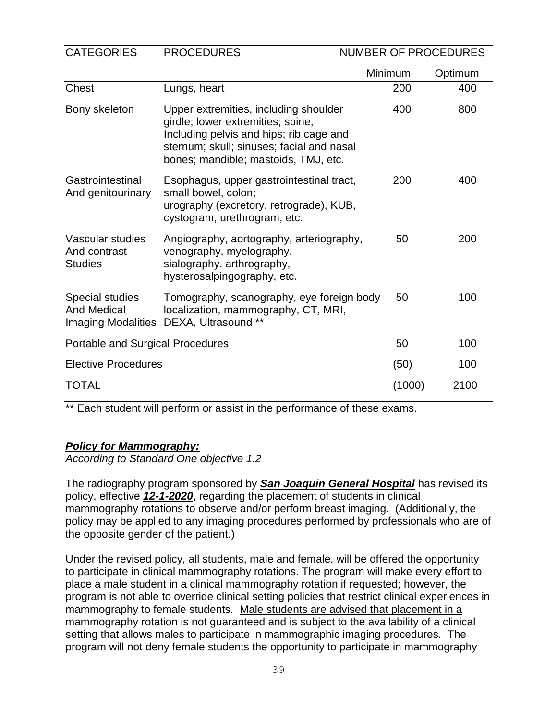| <b>CATEGORIES</b><br><b>PROCEDURES</b>             |                                                                                                                                                                                                            |         | <b>NUMBER OF PROCEDURES</b> |  |  |
|----------------------------------------------------|------------------------------------------------------------------------------------------------------------------------------------------------------------------------------------------------------------|---------|-----------------------------|--|--|
|                                                    |                                                                                                                                                                                                            | Minimum | Optimum                     |  |  |
| <b>Chest</b>                                       | Lungs, heart                                                                                                                                                                                               | 200     | 400                         |  |  |
| Bony skeleton                                      | Upper extremities, including shoulder<br>girdle; lower extremities; spine,<br>Including pelvis and hips; rib cage and<br>sternum; skull; sinuses; facial and nasal<br>bones; mandible; mastoids, TMJ, etc. | 400     | 800                         |  |  |
| Gastrointestinal<br>And genitourinary              | Esophagus, upper gastrointestinal tract,<br>small bowel, colon;<br>urography (excretory, retrograde), KUB,<br>cystogram, urethrogram, etc.                                                                 | 200     | 400                         |  |  |
| Vascular studies<br>And contrast<br><b>Studies</b> | Angiography, aortography, arteriography,<br>venography, myelography,<br>sialography. arthrography,<br>hysterosalpingography, etc.                                                                          | 50      | 200                         |  |  |
| <b>Special studies</b><br><b>And Medical</b>       | Tomography, scanography, eye foreign body<br>localization, mammography, CT, MRI,<br>Imaging Modalities DEXA, Ultrasound **                                                                                 | 50      | 100                         |  |  |
| <b>Portable and Surgical Procedures</b>            |                                                                                                                                                                                                            | 50      | 100                         |  |  |
| <b>Elective Procedures</b>                         | (50)                                                                                                                                                                                                       | 100     |                             |  |  |
| <b>TOTAL</b>                                       |                                                                                                                                                                                                            | (1000)  | 2100                        |  |  |

\*\* Each student will perform or assist in the performance of these exams.

#### *Policy for Mammography:*

*According to Standard One objective 1.2*

The radiography program sponsored by *San Joaquin General Hospital* has revised its policy, effective *12-1-2020*, regarding the placement of students in clinical mammography rotations to observe and/or perform breast imaging. (Additionally, the policy may be applied to any imaging procedures performed by professionals who are of the opposite gender of the patient.)

Under the revised policy, all students, male and female, will be offered the opportunity to participate in clinical mammography rotations. The program will make every effort to place a male student in a clinical mammography rotation if requested; however, the program is not able to override clinical setting policies that restrict clinical experiences in mammography to female students. Male students are advised that placement in a mammography rotation is not guaranteed and is subject to the availability of a clinical setting that allows males to participate in mammographic imaging procedures. The program will not deny female students the opportunity to participate in mammography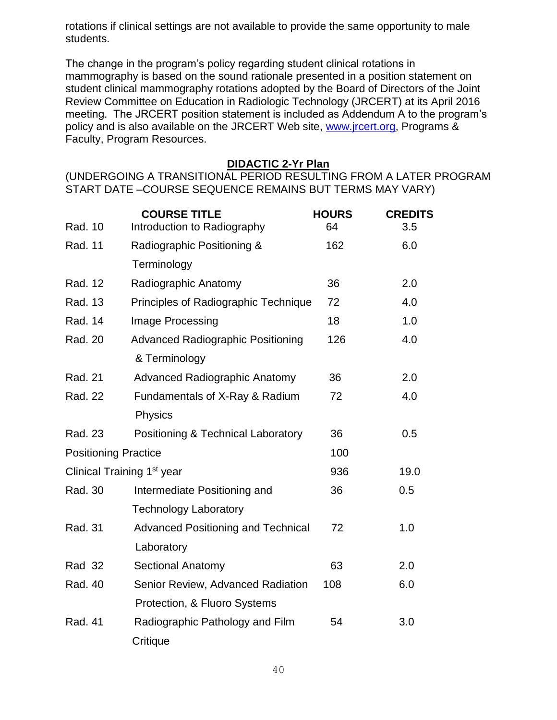rotations if clinical settings are not available to provide the same opportunity to male students.

The change in the program's policy regarding student clinical rotations in mammography is based on the sound rationale presented in a position statement on student clinical mammography rotations adopted by the Board of Directors of the Joint Review Committee on Education in Radiologic Technology (JRCERT) at its April 2016 meeting. The JRCERT position statement is included as Addendum A to the program's policy and is also available on the JRCERT Web site, [www.jrcert.org,](http://www.jrcert.org/) Programs & Faculty, Program Resources.

#### **DIDACTIC 2-Yr Plan**

(UNDERGOING A TRANSITIONAL PERIOD RESULTING FROM A LATER PROGRAM START DATE –COURSE SEQUENCE REMAINS BUT TERMS MAY VARY)

| Rad. 10                     | <b>COURSE TITLE</b><br>Introduction to Radiography | <b>HOURS</b><br>64 | <b>CREDITS</b><br>3.5 |
|-----------------------------|----------------------------------------------------|--------------------|-----------------------|
| Rad. 11                     | Radiographic Positioning &                         | 162                | 6.0                   |
|                             | Terminology                                        |                    |                       |
| Rad. 12                     | Radiographic Anatomy                               | 36                 | 2.0                   |
| Rad. 13                     | Principles of Radiographic Technique               | 72                 | 4.0                   |
| Rad. 14                     | Image Processing                                   | 18                 | 1.0                   |
| Rad. 20                     | <b>Advanced Radiographic Positioning</b>           | 126                | 4.0                   |
|                             | & Terminology                                      |                    |                       |
| Rad. 21                     | <b>Advanced Radiographic Anatomy</b>               | 36                 | 2.0                   |
| Rad. 22                     | Fundamentals of X-Ray & Radium                     | 72                 | 4.0                   |
|                             | Physics                                            |                    |                       |
| Rad. 23                     | Positioning & Technical Laboratory                 | 36                 | 0.5                   |
| <b>Positioning Practice</b> |                                                    | 100                |                       |
|                             | Clinical Training 1 <sup>st</sup> year             | 936                | 19.0                  |
| Rad. 30                     | Intermediate Positioning and                       | 36                 | 0.5                   |
|                             | <b>Technology Laboratory</b>                       |                    |                       |
| Rad. 31                     | <b>Advanced Positioning and Technical</b>          | 72                 | 1.0                   |
|                             | Laboratory                                         |                    |                       |
| <b>Rad 32</b>               | <b>Sectional Anatomy</b>                           | 63                 | 2.0                   |
| Rad. 40                     | Senior Review, Advanced Radiation                  | 108                | 6.0                   |
|                             | Protection, & Fluoro Systems                       |                    |                       |
| <b>Rad. 41</b>              | Radiographic Pathology and Film                    | 54                 | 3.0                   |
|                             | Critique                                           |                    |                       |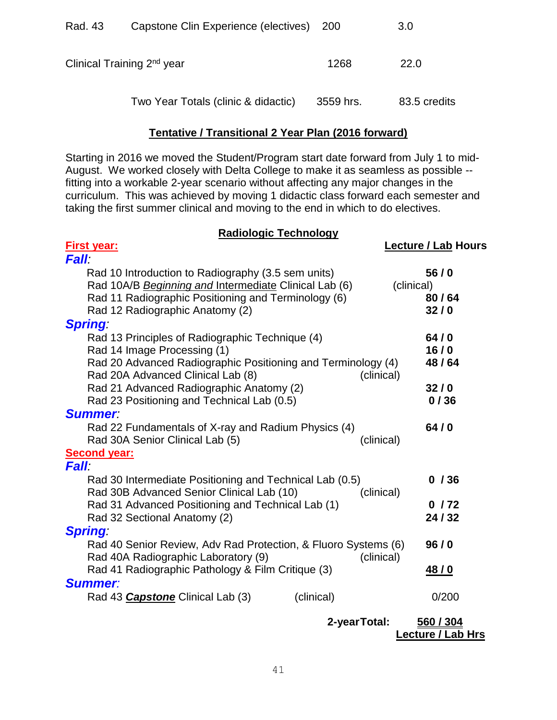| Rad. 43 | Capstone Clin Experience (electives) 200 |           | 3.0          |
|---------|------------------------------------------|-----------|--------------|
|         | Clinical Training 2 <sup>nd</sup> year   | 1268      | 22.0         |
|         | Two Year Totals (clinic & didactic)      | 3559 hrs. | 83.5 credits |

#### **Tentative / Transitional 2 Year Plan (2016 forward)**

Starting in 2016 we moved the Student/Program start date forward from July 1 to mid-August. We worked closely with Delta College to make it as seamless as possible - fitting into a workable 2-year scenario without affecting any major changes in the curriculum. This was achieved by moving 1 didactic class forward each semester and taking the first summer clinical and moving to the end in which to do electives.

#### **Radiologic Technology**

| First year:                                                    |              | <b>Lecture / Lab Hours</b> |
|----------------------------------------------------------------|--------------|----------------------------|
| <b>Fall:</b>                                                   |              |                            |
| Rad 10 Introduction to Radiography (3.5 sem units)             |              | 56/0                       |
| Rad 10A/B Beginning and Intermediate Clinical Lab (6)          | (clinical)   |                            |
| Rad 11 Radiographic Positioning and Terminology (6)            |              | 80/64                      |
| Rad 12 Radiographic Anatomy (2)                                |              | 32/0                       |
| <b>Spring:</b>                                                 |              |                            |
| Rad 13 Principles of Radiographic Technique (4)                |              | 64/0                       |
| Rad 14 Image Processing (1)                                    |              | 16/0                       |
| Rad 20 Advanced Radiographic Positioning and Terminology (4)   |              | 48/64                      |
| Rad 20A Advanced Clinical Lab (8)                              | (clinical)   |                            |
| Rad 21 Advanced Radiographic Anatomy (2)                       |              | 32/0                       |
| Rad 23 Positioning and Technical Lab (0.5)                     |              | 0/36                       |
| <b>Summer</b>                                                  |              |                            |
| Rad 22 Fundamentals of X-ray and Radium Physics (4)            |              | 64/0                       |
| Rad 30A Senior Clinical Lab (5)                                | (clinical)   |                            |
| <b>Second year:</b>                                            |              |                            |
| <i><b>Fall</b></i>                                             |              |                            |
| Rad 30 Intermediate Positioning and Technical Lab (0.5)        |              | 0/36                       |
| Rad 30B Advanced Senior Clinical Lab (10)                      | (clinical)   |                            |
| Rad 31 Advanced Positioning and Technical Lab (1)              |              | 0/72                       |
| Rad 32 Sectional Anatomy (2)                                   |              | 24/32                      |
| <b>Spring</b>                                                  |              |                            |
| Rad 40 Senior Review, Adv Rad Protection, & Fluoro Systems (6) |              | 96/0                       |
| Rad 40A Radiographic Laboratory (9)                            | (clinical)   |                            |
| Rad 41 Radiographic Pathology & Film Critique (3)              |              | <u>48/0</u>                |
| <b>Summer:</b>                                                 |              |                            |
| Rad 43 <b>Capstone</b> Clinical Lab (3)<br>(clinical)          |              | 0/200                      |
|                                                                |              |                            |
|                                                                | 2-yearTotal: | 560 / 304                  |

**Lecture / Lab Hrs**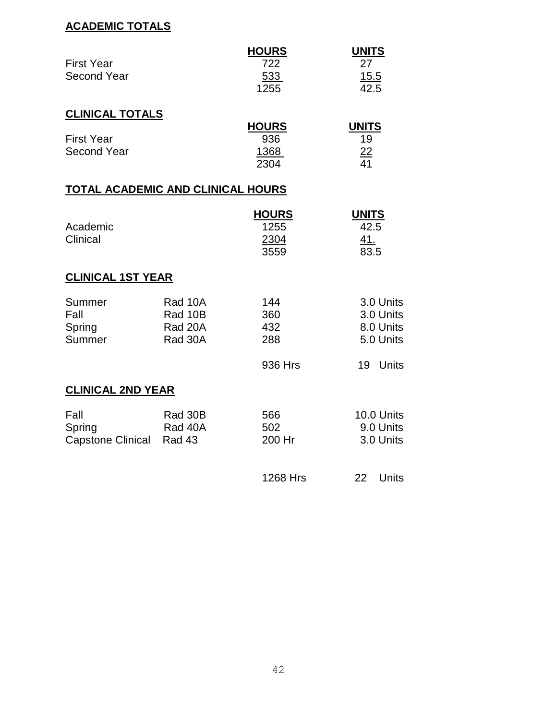# **ACADEMIC TOTALS**

| <b>First Year</b><br><b>Second Year</b>    |                                          | <b>HOURS</b><br>722<br>533<br>1255   | <b>UNITS</b><br>27<br><u>15.5</u><br>42.5        |
|--------------------------------------------|------------------------------------------|--------------------------------------|--------------------------------------------------|
| <b>CLINICAL TOTALS</b>                     |                                          |                                      |                                                  |
| <b>First Year</b><br><b>Second Year</b>    |                                          | <b>HOURS</b><br>936<br>1368<br>2304  | <b>UNITS</b><br>19<br>$\frac{22}{2}$<br>41       |
| TOTAL ACADEMIC AND CLINICAL HOURS          |                                          |                                      |                                                  |
| Academic<br>Clinical                       |                                          | <b>HOURS</b><br>1255<br>2304<br>3559 | <b>UNITS</b><br>42.5<br><u>41.</u><br>83.5       |
| <b>CLINICAL 1ST YEAR</b>                   |                                          |                                      |                                                  |
| Summer<br>Fall<br>Spring<br>Summer         | Rad 10A<br>Rad 10B<br>Rad 20A<br>Rad 30A | 144<br>360<br>432<br>288             | 3.0 Units<br>3.0 Units<br>8.0 Units<br>5.0 Units |
|                                            |                                          | 936 Hrs                              | 19<br><b>Units</b>                               |
| <b>CLINICAL 2ND YEAR</b>                   |                                          |                                      |                                                  |
| Fall<br>Spring<br><b>Capstone Clinical</b> | Rad 30B<br>Rad 40A<br>Rad 43             | 566<br>502<br>200 Hr                 | 10.0 Units<br>9.0 Units<br>3.0 Units             |
|                                            |                                          | 1268 Hrs                             | 22<br><b>Units</b>                               |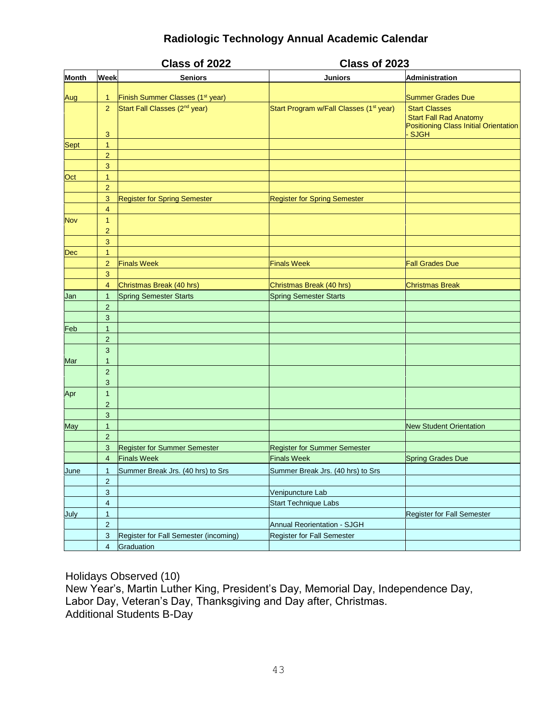# **Radiologic Technology Annual Academic Calendar**

|              |                                | Class of 2022                                | Class of 2023                                       |                                                                                                |  |
|--------------|--------------------------------|----------------------------------------------|-----------------------------------------------------|------------------------------------------------------------------------------------------------|--|
| <b>Month</b> | Week                           | <b>Seniors</b>                               | <b>Juniors</b>                                      | <b>Administration</b>                                                                          |  |
|              |                                |                                              |                                                     |                                                                                                |  |
| Aug          | 1                              | Finish Summer Classes (1 <sup>st</sup> year) |                                                     | <b>Summer Grades Due</b>                                                                       |  |
|              | $\overline{2}$                 | Start Fall Classes (2 <sup>nd</sup> year)    | Start Program w/Fall Classes (1 <sup>st</sup> year) | <b>Start Classes</b><br><b>Start Fall Rad Anatomy</b><br>Positioning Class Initial Orientation |  |
|              | 3                              |                                              |                                                     | <b>SJGH</b>                                                                                    |  |
| <b>Sept</b>  | $\mathbf{1}$                   |                                              |                                                     |                                                                                                |  |
|              | $\overline{2}$                 |                                              |                                                     |                                                                                                |  |
|              | $\mathsf 3$                    |                                              |                                                     |                                                                                                |  |
| Oct          | $\mathbf{1}$                   |                                              |                                                     |                                                                                                |  |
|              | $\overline{2}$                 |                                              |                                                     |                                                                                                |  |
|              | 3                              | <b>Register for Spring Semester</b>          | <b>Register for Spring Semester</b>                 |                                                                                                |  |
|              | $\overline{4}$                 |                                              |                                                     |                                                                                                |  |
| <b>Nov</b>   | $\mathbf{1}$<br>$\overline{2}$ |                                              |                                                     |                                                                                                |  |
|              | 3                              |                                              |                                                     |                                                                                                |  |
| <b>Dec</b>   | $\mathbf{1}$                   |                                              |                                                     |                                                                                                |  |
|              | $\overline{2}$                 | <b>Finals Week</b>                           | <b>Finals Week</b>                                  | <b>Fall Grades Due</b>                                                                         |  |
|              | $\mathbf{3}$                   |                                              |                                                     |                                                                                                |  |
|              | $\overline{4}$                 | Christmas Break (40 hrs)                     | Christmas Break (40 hrs)                            | <b>Christmas Break</b>                                                                         |  |
| Jan          | $\mathbf{1}$                   | <b>Spring Semester Starts</b>                | <b>Spring Semester Starts</b>                       |                                                                                                |  |
|              | $\overline{2}$                 |                                              |                                                     |                                                                                                |  |
|              | 3                              |                                              |                                                     |                                                                                                |  |
| Feb          | $\mathbf{1}$                   |                                              |                                                     |                                                                                                |  |
|              | $\overline{2}$                 |                                              |                                                     |                                                                                                |  |
|              | 3                              |                                              |                                                     |                                                                                                |  |
| Mar          | $\mathbf{1}$                   |                                              |                                                     |                                                                                                |  |
|              | $\overline{2}$                 |                                              |                                                     |                                                                                                |  |
|              | 3                              |                                              |                                                     |                                                                                                |  |
| Apr          | 1                              |                                              |                                                     |                                                                                                |  |
|              | $\overline{2}$                 |                                              |                                                     |                                                                                                |  |
|              | 3                              |                                              |                                                     |                                                                                                |  |
| May          | $\mathbf{1}$                   |                                              |                                                     | <b>New Student Orientation</b>                                                                 |  |
|              | $\overline{2}$                 |                                              |                                                     |                                                                                                |  |
|              | 3                              | <b>Register for Summer Semester</b>          | <b>Register for Summer Semester</b>                 |                                                                                                |  |
|              | $\overline{4}$                 | <b>Finals Week</b>                           | <b>Finals Week</b>                                  | <b>Spring Grades Due</b>                                                                       |  |
| June         | 1                              | Summer Break Jrs. (40 hrs) to Srs            | Summer Break Jrs. (40 hrs) to Srs                   |                                                                                                |  |
|              | $\overline{c}$                 |                                              |                                                     |                                                                                                |  |
|              | $\sqrt{3}$                     |                                              | Venipuncture Lab                                    |                                                                                                |  |
|              | $\overline{\mathcal{A}}$       |                                              | <b>Start Technique Labs</b>                         |                                                                                                |  |
| July         | $\mathbf{1}$                   |                                              |                                                     | Register for Fall Semester                                                                     |  |
|              | $\overline{2}$                 |                                              | <b>Annual Reorientation - SJGH</b>                  |                                                                                                |  |
|              | $\sqrt{3}$                     | Register for Fall Semester (incoming)        | Register for Fall Semester                          |                                                                                                |  |
|              | $\overline{4}$                 | Graduation                                   |                                                     |                                                                                                |  |

Holidays Observed (10) New Year's, Martin Luther King, President's Day, Memorial Day, Independence Day, Labor Day, Veteran's Day, Thanksgiving and Day after, Christmas. Additional Students B-Day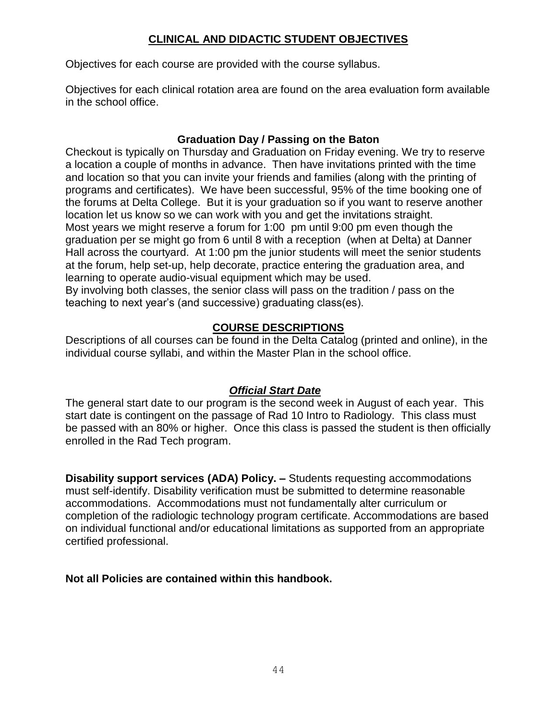# **CLINICAL AND DIDACTIC STUDENT OBJECTIVES**

Objectives for each course are provided with the course syllabus.

Objectives for each clinical rotation area are found on the area evaluation form available in the school office.

# **Graduation Day / Passing on the Baton**

Checkout is typically on Thursday and Graduation on Friday evening. We try to reserve a location a couple of months in advance. Then have invitations printed with the time and location so that you can invite your friends and families (along with the printing of programs and certificates). We have been successful, 95% of the time booking one of the forums at Delta College. But it is your graduation so if you want to reserve another location let us know so we can work with you and get the invitations straight. Most years we might reserve a forum for 1:00 pm until 9:00 pm even though the graduation per se might go from 6 until 8 with a reception (when at Delta) at Danner Hall across the courtyard. At 1:00 pm the junior students will meet the senior students at the forum, help set-up, help decorate, practice entering the graduation area, and learning to operate audio-visual equipment which may be used.

By involving both classes, the senior class will pass on the tradition / pass on the teaching to next year's (and successive) graduating class(es).

# **COURSE DESCRIPTIONS**

Descriptions of all courses can be found in the Delta Catalog (printed and online), in the individual course syllabi, and within the Master Plan in the school office.

#### *Official Start Date*

The general start date to our program is the second week in August of each year. This start date is contingent on the passage of Rad 10 Intro to Radiology. This class must be passed with an 80% or higher. Once this class is passed the student is then officially enrolled in the Rad Tech program.

**Disability support services (ADA) Policy. –** Students requesting accommodations must self-identify. Disability verification must be submitted to determine reasonable accommodations. Accommodations must not fundamentally alter curriculum or completion of the radiologic technology program certificate. Accommodations are based on individual functional and/or educational limitations as supported from an appropriate certified professional.

**Not all Policies are contained within this handbook.**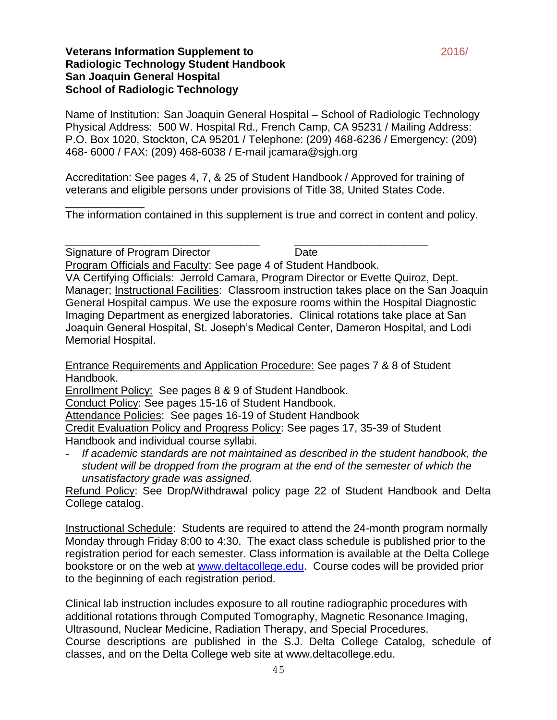#### **Veterans Information Supplement to** 2016/ **Radiologic Technology Student Handbook San Joaquin General Hospital School of Radiologic Technology**

\_\_\_\_\_\_\_\_\_\_\_\_\_

Name of Institution: San Joaquin General Hospital – School of Radiologic Technology Physical Address: 500 W. Hospital Rd., French Camp, CA 95231 / Mailing Address: P.O. Box 1020, Stockton, CA 95201 / Telephone: (209) 468-6236 / Emergency: (209) 468- 6000 / FAX: (209) 468-6038 / E-mail jcamara@sjgh.org

Accreditation: See pages 4, 7, & 25 of Student Handbook / Approved for training of veterans and eligible persons under provisions of Title 38, United States Code.

The information contained in this supplement is true and correct in content and policy.

\_\_\_\_\_\_\_\_\_\_\_\_\_\_\_\_\_\_\_\_\_\_\_\_\_\_\_\_\_\_\_\_ \_\_\_\_\_\_\_\_\_\_\_\_\_\_\_\_\_\_\_\_\_\_

Signature of Program Director **Digital Contract Contract Contract Contract Contract Contract Contract Contract Contract Contract Contract Contract Contract Contract Contract Contract Contract Contract Contract Contract Con** Program Officials and Faculty: See page 4 of Student Handbook. VA Certifying Officials: Jerrold Camara, Program Director or Evette Quiroz, Dept. Manager; Instructional Facilities: Classroom instruction takes place on the San Joaquin General Hospital campus. We use the exposure rooms within the Hospital Diagnostic Imaging Department as energized laboratories. Clinical rotations take place at San Joaquin General Hospital, St. Joseph's Medical Center, Dameron Hospital, and Lodi Memorial Hospital.

Entrance Requirements and Application Procedure: See pages 7 & 8 of Student Handbook.

Enrollment Policy: See pages 8 & 9 of Student Handbook.

Conduct Policy: See pages 15-16 of Student Handbook.

Attendance Policies: See pages 16-19 of Student Handbook

Credit Evaluation Policy and Progress Policy: See pages 17, 35-39 of Student Handbook and individual course syllabi.

- *If academic standards are not maintained as described in the student handbook, the student will be dropped from the program at the end of the semester of which the unsatisfactory grade was assigned.*

Refund Policy: See Drop/Withdrawal policy page 22 of Student Handbook and Delta College catalog.

Instructional Schedule: Students are required to attend the 24-month program normally Monday through Friday 8:00 to 4:30. The exact class schedule is published prior to the registration period for each semester. Class information is available at the Delta College bookstore or on the web at [www.deltacollege.edu.](http://www.deltacollege.edu/) Course codes will be provided prior to the beginning of each registration period.

Clinical lab instruction includes exposure to all routine radiographic procedures with additional rotations through Computed Tomography, Magnetic Resonance Imaging, Ultrasound, Nuclear Medicine, Radiation Therapy, and Special Procedures. Course descriptions are published in the S.J. Delta College Catalog, schedule of classes, and on the Delta College web site at www.deltacollege.edu.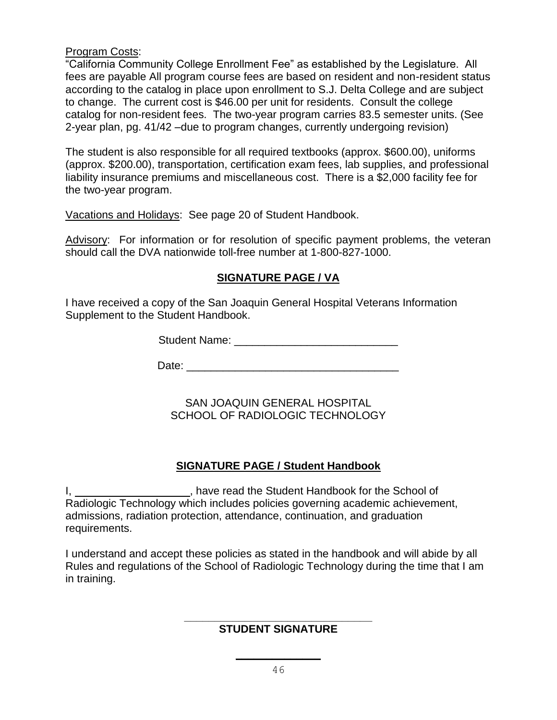#### Program Costs:

"California Community College Enrollment Fee" as established by the Legislature. All fees are payable All program course fees are based on resident and non-resident status according to the catalog in place upon enrollment to S.J. Delta College and are subject to change. The current cost is \$46.00 per unit for residents. Consult the college catalog for non-resident fees. The two-year program carries 83.5 semester units. (See 2-year plan, pg. 41/42 –due to program changes, currently undergoing revision)

The student is also responsible for all required textbooks (approx. \$600.00), uniforms (approx. \$200.00), transportation, certification exam fees, lab supplies, and professional liability insurance premiums and miscellaneous cost. There is a \$2,000 facility fee for the two-year program.

Vacations and Holidays: See page 20 of Student Handbook.

Advisory: For information or for resolution of specific payment problems, the veteran should call the DVA nationwide toll-free number at 1-800-827-1000.

#### **SIGNATURE PAGE / VA**

I have received a copy of the San Joaquin General Hospital Veterans Information Supplement to the Student Handbook.

Student Name: \_\_\_\_\_\_\_\_\_\_\_\_\_\_\_\_\_\_\_\_\_\_\_\_\_\_\_

Date: \_\_\_\_\_\_\_\_\_\_\_\_\_\_\_\_\_\_\_\_\_\_\_\_\_\_\_\_\_\_\_\_\_\_\_

SAN JOAQUIN GENERAL HOSPITAL SCHOOL OF RADIOLOGIC TECHNOLOGY

#### **SIGNATURE PAGE / Student Handbook**

I, 1. All 2013 May the Student Handbook for the School of Radiologic Technology which includes policies governing academic achievement, admissions, radiation protection, attendance, continuation, and graduation requirements.

I understand and accept these policies as stated in the handbook and will abide by all Rules and regulations of the School of Radiologic Technology during the time that I am in training.

#### **\_\_\_\_\_\_\_\_\_\_\_\_\_\_\_\_\_\_\_\_\_\_\_\_\_\_\_\_\_\_\_ STUDENT SIGNATURE**